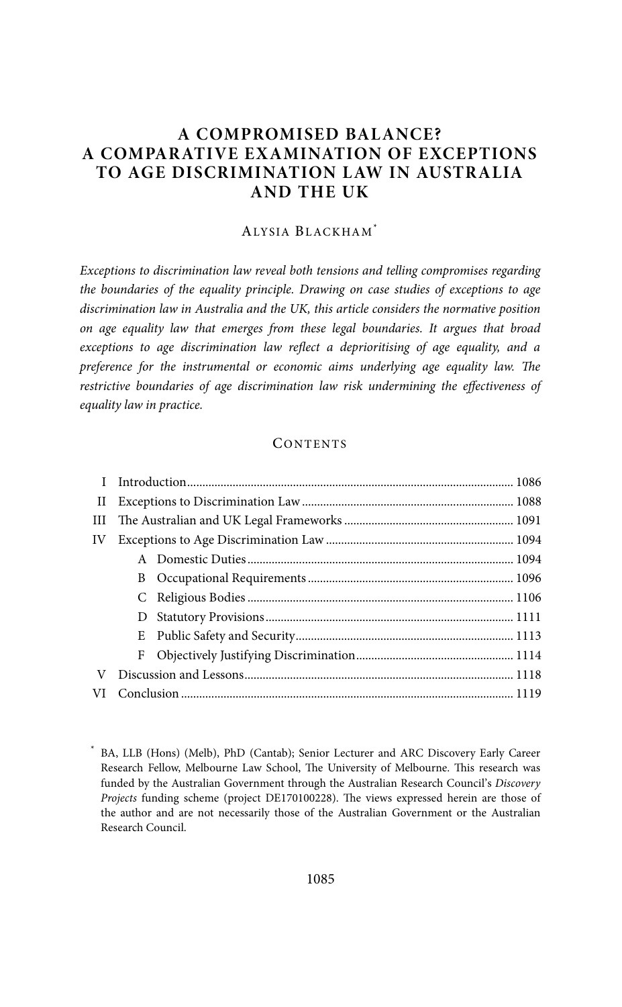# **A COMPROMISED BALANCE? A COMPARATIVE EX AMINATION OF EXCEPTIONS TO AGE DISCRIMINATION LAW IN AUSTRALIA AND THE UK**

#### ALYSIA BLACKHAM\*

Exceptions to discrimination law reveal both tensions and telling compromises regarding the boundaries of the equality principle. Drawing on case studies of exceptions to age discrimination law in Australia and the UK, this article considers the normative position on age equality law that emerges from these legal boundaries. It argues that broad exceptions to age discrimination law reflect a deprioritising of age equality, and a preference for the instrumental or economic aims underlying age equality law. The restrictive boundaries of age discrimination law risk undermining the effectiveness of equality law in practice.

## **CONTENTS**

| П  |        |  |  |
|----|--------|--|--|
| Ш  |        |  |  |
| IV |        |  |  |
|    |        |  |  |
|    | B      |  |  |
|    | C      |  |  |
|    | $\Box$ |  |  |
|    | Ε      |  |  |
|    | F      |  |  |
| V  |        |  |  |
|    |        |  |  |

<sup>\*</sup> BA, LLB (Hons) (Melb), PhD (Cantab); Senior Lecturer and ARC Discovery Early Career Research Fellow, Melbourne Law School, The University of Melbourne. This research was funded by the Australian Government through the Australian Research Council's Discovery Projects funding scheme (project DE170100228). The views expressed herein are those of the author and are not necessarily those of the Australian Government or the Australian Research Council.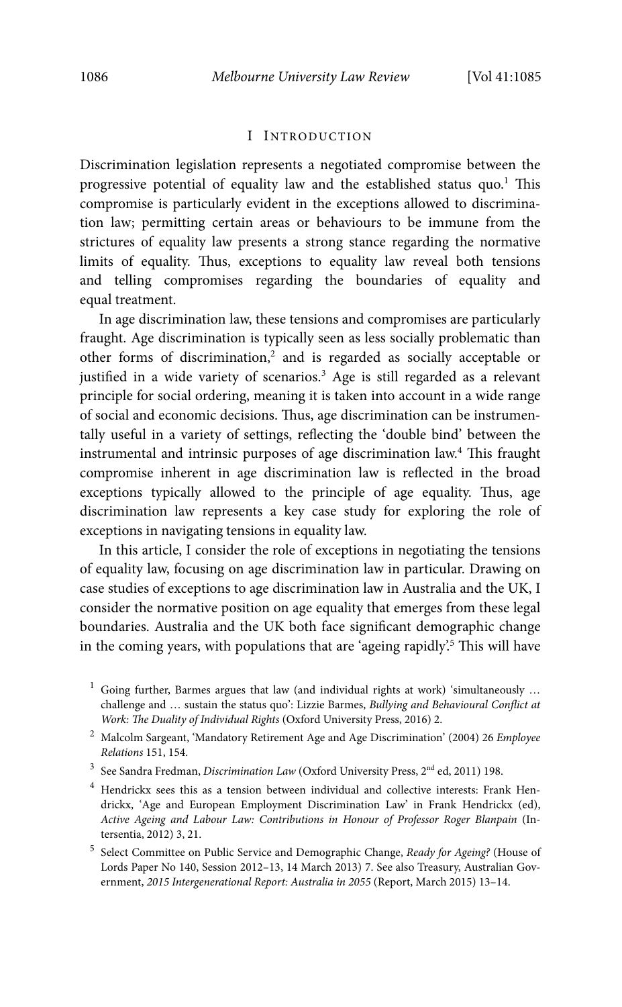# I INTRODUCTION

Discrimination legislation represents a negotiated compromise between the progressive potential of equality law and the established status quo.<sup>1</sup> This compromise is particularly evident in the exceptions allowed to discrimination law; permitting certain areas or behaviours to be immune from the strictures of equality law presents a strong stance regarding the normative limits of equality. Thus, exceptions to equality law reveal both tensions and telling compromises regarding the boundaries of equality and equal treatment.

In age discrimination law, these tensions and compromises are particularly fraught. Age discrimination is typically seen as less socially problematic than other forms of discrimination,<sup>2</sup> and is regarded as socially acceptable or justified in a wide variety of scenarios.<sup>3</sup> Age is still regarded as a relevant principle for social ordering, meaning it is taken into account in a wide range of social and economic decisions. Thus, age discrimination can be instrumentally useful in a variety of settings, reflecting the 'double bind' between the instrumental and intrinsic purposes of age discrimination law.<sup>4</sup> This fraught compromise inherent in age discrimination law is reflected in the broad exceptions typically allowed to the principle of age equality. Thus, age discrimination law represents a key case study for exploring the role of exceptions in navigating tensions in equality law.

In this article, I consider the role of exceptions in negotiating the tensions of equality law, focusing on age discrimination law in particular. Drawing on case studies of exceptions to age discrimination law in Australia and the UK, I consider the normative position on age equality that emerges from these legal boundaries. Australia and the UK both face significant demographic change in the coming years, with populations that are 'ageing rapidly'.<sup>5</sup> This will have

- $^3$  See Sandra Fredman, Discrimination Law (Oxford University Press,  $2^{\text{nd}}$  ed, 2011) 198.
- 4 Hendrickx sees this as a tension between individual and collective interests: Frank Hendrickx, 'Age and European Employment Discrimination Law' in Frank Hendrickx (ed), Active Ageing and Labour Law: Contributions in Honour of Professor Roger Blanpain (Intersentia, 2012) 3, 21.
- <sup>5</sup> Select Committee on Public Service and Demographic Change, Ready for Ageing? (House of Lords Paper No 140, Session 2012–13, 14 March 2013) 7. See also Treasury, Australian Government, 2015 Intergenerational Report: Australia in 2055 (Report, March 2015) 13–14.

 $1$  Going further, Barmes argues that law (and individual rights at work) 'simultaneously ... challenge and ... sustain the status quo': Lizzie Barmes, Bullying and Behavioural Conflict at Work: The Duality of Individual Rights (Oxford University Press, 2016) 2.

 $2$  Malcolm Sargeant, 'Mandatory Retirement Age and Age Discrimination' (2004) 26 Employee Relations 151, 154.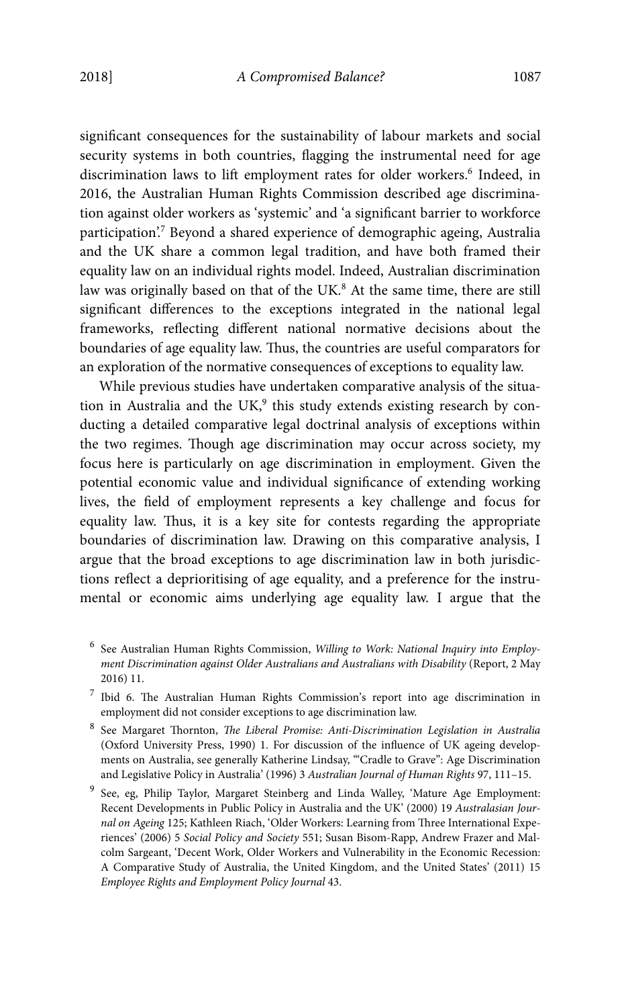significant consequences for the sustainability of labour markets and social security systems in both countries, flagging the instrumental need for age discrimination laws to lift employment rates for older workers.<sup>6</sup> Indeed, in 2016, the Australian Human Rights Commission described age discrimination against older workers as 'systemic' and 'a significant barrier to workforce participation?<sup>7</sup> Beyond a shared experience of demographic ageing, Australia and the UK share a common legal tradition, and have both framed their equality law on an individual rights model. Indeed, Australian discrimination law was originally based on that of the UK.<sup>8</sup> At the same time, there are still significant differences to the exceptions integrated in the national legal frameworks, reflecting different national normative decisions about the boundaries of age equality law. Thus, the countries are useful comparators for an exploration of the normative consequences of exceptions to equality law.

While previous studies have undertaken comparative analysis of the situation in Australia and the UK,<sup>9</sup> this study extends existing research by conducting a detailed comparative legal doctrinal analysis of exceptions within the two regimes. Though age discrimination may occur across society, my focus here is particularly on age discrimination in employment. Given the potential economic value and individual significance of extending working lives, the field of employment represents a key challenge and focus for equality law. Thus, it is a key site for contests regarding the appropriate boundaries of discrimination law. Drawing on this comparative analysis, I argue that the broad exceptions to age discrimination law in both jurisdictions reflect a deprioritising of age equality, and a preference for the instrumental or economic aims underlying age equality law. I argue that the

- <sup>6</sup> See Australian Human Rights Commission, Willing to Work: National Inquiry into Employment Discrimination against Older Australians and Australians with Disability (Report, 2 May 2016) 11.
- 7 Ibid 6. The Australian Human Rights Commission's report into age discrimination in employment did not consider exceptions to age discrimination law.
- <sup>8</sup> See Margaret Thornton, *The Liberal Promise: Anti-Discrimination Legislation in Australia* (Oxford University Press, 1990) 1. For discussion of the influence of UK ageing developments on Australia, see generally Katherine Lindsay, '"Cradle to Grave": Age Discrimination and Legislative Policy in Australia' (1996) 3 Australian Journal of Human Rights 97, 111–15.
- <sup>9</sup> See, eg, Philip Taylor, Margaret Steinberg and Linda Walley, 'Mature Age Employment: Recent Developments in Public Policy in Australia and the UK' (2000) 19 Australasian Journal on Ageing 125; Kathleen Riach, 'Older Workers: Learning from Three International Experiences' (2006) 5 Social Policy and Society 551; Susan Bisom-Rapp, Andrew Frazer and Malcolm Sargeant, 'Decent Work, Older Workers and Vulnerability in the Economic Recession: A Comparative Study of Australia, the United Kingdom, and the United States' (2011) 15 Employee Rights and Employment Policy Journal 43.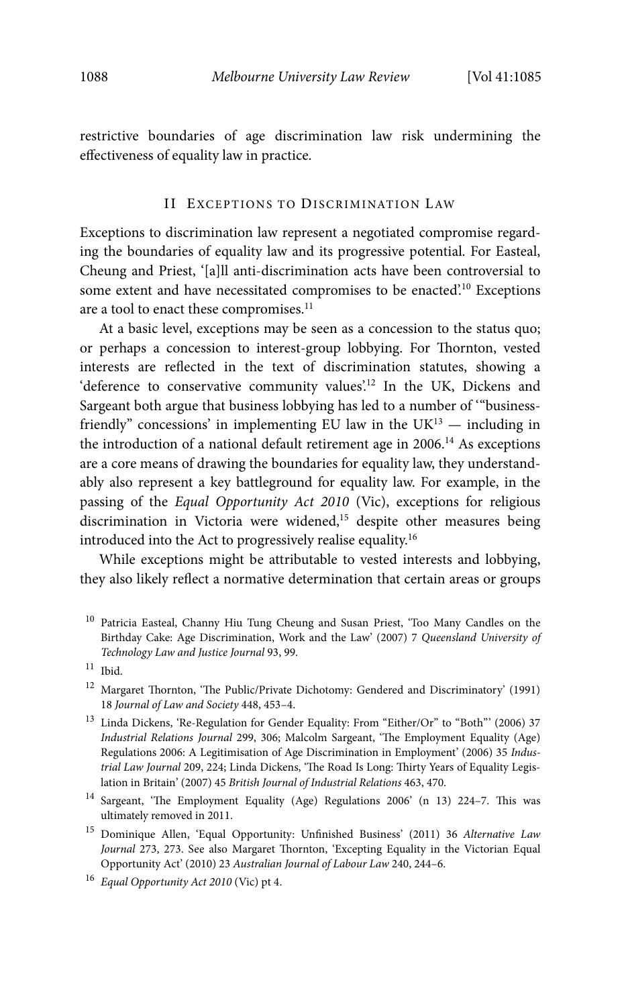restrictive boundaries of age discrimination law risk undermining the effectiveness of equality law in practice.

### II EXCEPTIONS TO DISCRIMINATION LAW

Exceptions to discrimination law represent a negotiated compromise regarding the boundaries of equality law and its progressive potential. For Easteal, Cheung and Priest, '[a]ll anti-discrimination acts have been controversial to some extent and have necessitated compromises to be enacted'.<sup>10</sup> Exceptions are a tool to enact these compromises.<sup>11</sup>

At a basic level, exceptions may be seen as a concession to the status quo; or perhaps a concession to interest-group lobbying. For Thornton, vested interests are reflected in the text of discrimination statutes, showing a 'deference to conservative community values'.<sup>12</sup> In the UK, Dickens and Sargeant both argue that business lobbying has led to a number of '"businessfriendly" concessions' in implementing EU law in the  $UK^{13}$  — including in the introduction of a national default retirement age in  $2006$ .<sup>14</sup> As exceptions are a core means of drawing the boundaries for equality law, they understandably also represent a key battleground for equality law. For example, in the passing of the Equal Opportunity Act 2010 (Vic), exceptions for religious discrimination in Victoria were widened,<sup>15</sup> despite other measures being introduced into the Act to progressively realise equality.16

While exceptions might be attributable to vested interests and lobbying, they also likely reflect a normative determination that certain areas or groups

<sup>10</sup> Patricia Easteal, Channy Hiu Tung Cheung and Susan Priest, 'Too Many Candles on the Birthday Cake: Age Discrimination, Work and the Law' (2007) 7 Queensland University of Technology Law and Justice Journal 93, 99.

 $11$  Ibid.

 $^{12}\,$  Margaret Thornton, 'The Public/Private Dichotomy: Gendered and Discriminatory' (1991) 18 Journal of Law and Society 448, 453–4.

<sup>&</sup>lt;sup>13</sup> Linda Dickens, 'Re-Regulation for Gender Equality: From "Either/Or" to "Both"' (2006) 37 Industrial Relations Journal 299, 306; Malcolm Sargeant, 'The Employment Equality (Age) Regulations 2006: A Legitimisation of Age Discrimination in Employment' (2006) 35 Industrial Law Journal 209, 224; Linda Dickens, 'The Road Is Long: Thirty Years of Equality Legislation in Britain' (2007) 45 British Journal of Industrial Relations 463, 470.

<sup>14</sup> Sargeant, 'The Employment Equality (Age) Regulations 2006' (n 13) 224–7. This was ultimately removed in 2011.

<sup>&</sup>lt;sup>15</sup> Dominique Allen, 'Equal Opportunity: Unfinished Business' (2011) 36 Alternative Law Journal 273, 273. See also Margaret Thornton, 'Excepting Equality in the Victorian Equal Opportunity Act' (2010) 23 Australian Journal of Labour Law 240, 244–6.

<sup>&</sup>lt;sup>16</sup> Equal Opportunity Act 2010 (Vic) pt 4.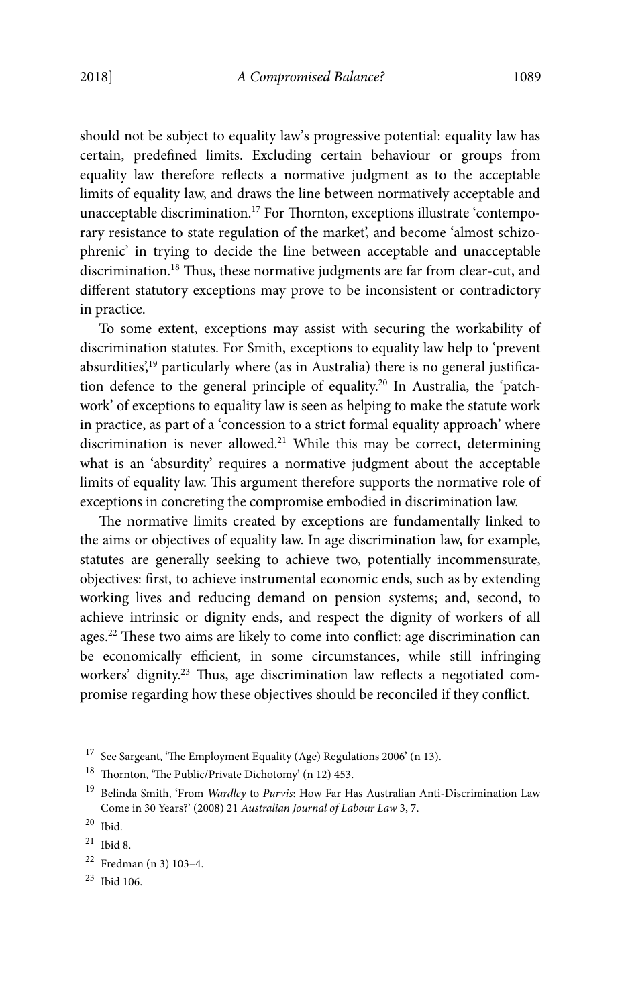should not be subject to equality law's progressive potential: equality law has certain, predefined limits. Excluding certain behaviour or groups from equality law therefore reflects a normative judgment as to the acceptable limits of equality law, and draws the line between normatively acceptable and unacceptable discrimination.<sup>17</sup> For Thornton, exceptions illustrate 'contemporary resistance to state regulation of the market', and become 'almost schizophrenic' in trying to decide the line between acceptable and unacceptable discrimination.18 Thus, these normative judgments are far from clear-cut, and different statutory exceptions may prove to be inconsistent or contradictory in practice.

To some extent, exceptions may assist with securing the workability of discrimination statutes. For Smith, exceptions to equality law help to 'prevent absurdities',<sup>19</sup> particularly where (as in Australia) there is no general justification defence to the general principle of equality.20 In Australia, the 'patchwork' of exceptions to equality law is seen as helping to make the statute work in practice, as part of a 'concession to a strict formal equality approach' where discrimination is never allowed.<sup>21</sup> While this may be correct, determining what is an 'absurdity' requires a normative judgment about the acceptable limits of equality law. This argument therefore supports the normative role of exceptions in concreting the compromise embodied in discrimination law.

The normative limits created by exceptions are fundamentally linked to the aims or objectives of equality law. In age discrimination law, for example, statutes are generally seeking to achieve two, potentially incommensurate, objectives: first, to achieve instrumental economic ends, such as by extending working lives and reducing demand on pension systems; and, second, to achieve intrinsic or dignity ends, and respect the dignity of workers of all ages.22 These two aims are likely to come into conflict: age discrimination can be economically efficient, in some circumstances, while still infringing workers' dignity.<sup>23</sup> Thus, age discrimination law reflects a negotiated compromise regarding how these objectives should be reconciled if they conflict.

 $^{17}\,$  See Sargeant, 'The Employment Equality (Age) Regulations 2006' (n 13).

<sup>18</sup> Thornton, 'The Public/Private Dichotomy' (n 12) 453.

<sup>&</sup>lt;sup>19</sup> Belinda Smith, 'From Wardley to Purvis: How Far Has Australian Anti-Discrimination Law Come in 30 Years?' (2008) 21 Australian Journal of Labour Law 3, 7.

<sup>20</sup> Ibid.

 $^{21}\,$  Ibid 8.

 $22$  Fredman (n 3) 103-4.

<sup>23</sup> Ibid 106.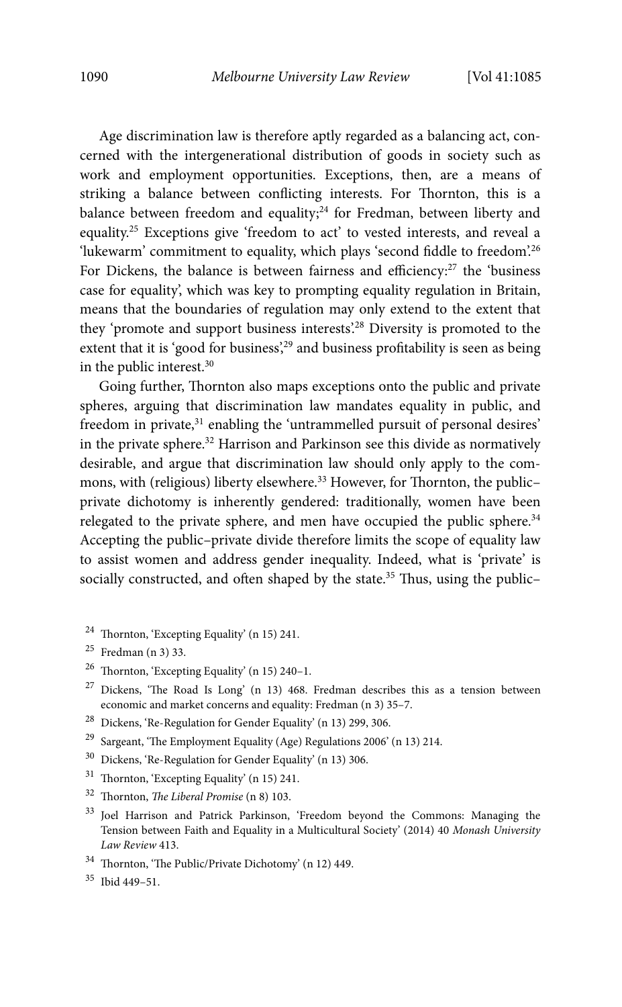Age discrimination law is therefore aptly regarded as a balancing act, concerned with the intergenerational distribution of goods in society such as work and employment opportunities. Exceptions, then, are a means of striking a balance between conflicting interests. For Thornton, this is a balance between freedom and equality;<sup>24</sup> for Fredman, between liberty and equality.25 Exceptions give 'freedom to act' to vested interests, and reveal a 'lukewarm' commitment to equality, which plays 'second fiddle to freedom'.<sup>26</sup> For Dickens, the balance is between fairness and efficiency:<sup>27</sup> the 'business case for equality', which was key to prompting equality regulation in Britain, means that the boundaries of regulation may only extend to the extent that they 'promote and support business interests'.28 Diversity is promoted to the extent that it is 'good for business',<sup>29</sup> and business profitability is seen as being in the public interest.30

Going further, Thornton also maps exceptions onto the public and private spheres, arguing that discrimination law mandates equality in public, and freedom in private,<sup>31</sup> enabling the 'untrammelled pursuit of personal desires' in the private sphere.<sup>32</sup> Harrison and Parkinson see this divide as normatively desirable, and argue that discrimination law should only apply to the commons, with (religious) liberty elsewhere.<sup>33</sup> However, for Thornton, the publicprivate dichotomy is inherently gendered: traditionally, women have been relegated to the private sphere, and men have occupied the public sphere.<sup>34</sup> Accepting the public–private divide therefore limits the scope of equality law to assist women and address gender inequality. Indeed, what is 'private' is socially constructed, and often shaped by the state.<sup>35</sup> Thus, using the public-

- 24 Thornton, 'Excepting Equality' (n 15) 241.
- $25$  Fredman (n 3) 33.
- 26 Thornton, 'Excepting Equality' (n 15) 240–1.
- $27$  Dickens, 'The Road Is Long' (n 13) 468. Fredman describes this as a tension between economic and market concerns and equality: Fredman (n 3) 35–7.
- 28 Dickens, 'Re-Regulation for Gender Equality' (n 13) 299, 306.
- 29 Sargeant, 'The Employment Equality (Age) Regulations 2006' (n 13) 214.
- 30 Dickens, 'Re-Regulation for Gender Equality' (n 13) 306.
- 31 Thornton, 'Excepting Equality' (n 15) 241.
- $32$  Thornton, The Liberal Promise (n 8) 103.
- 33 Joel Harrison and Patrick Parkinson, 'Freedom beyond the Commons: Managing the Tension between Faith and Equality in a Multicultural Society' (2014) 40 Monash University Law Review 413.
- 34 Thornton, 'The Public/Private Dichotomy' (n 12) 449.
- 35 Ibid 449–51.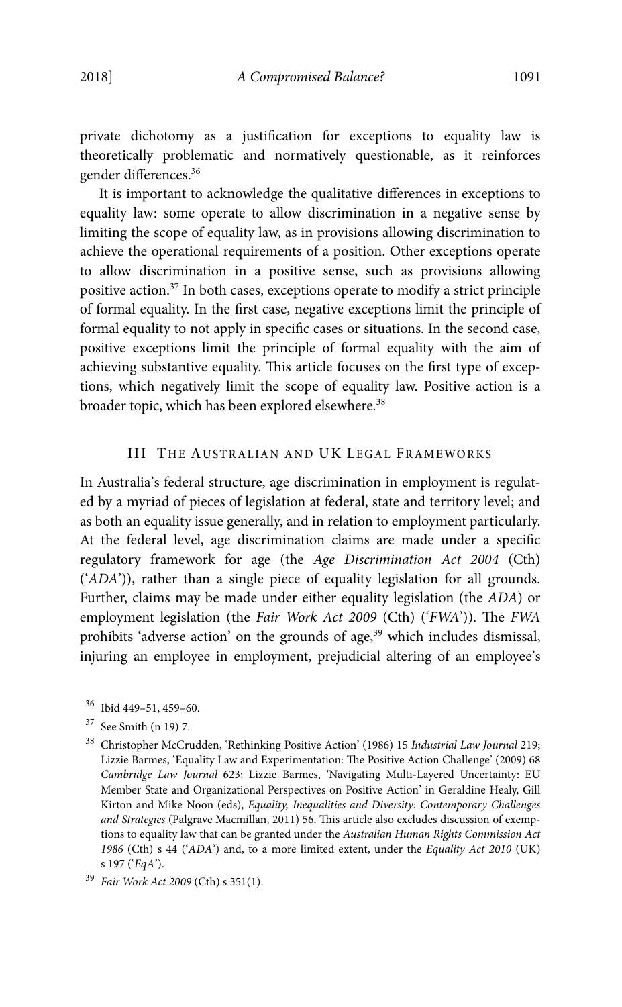private dichotomy as a justification for exceptions to equality law is theoretically problematic and normatively questionable, as it reinforces gender differences.36

It is important to acknowledge the qualitative differences in exceptions to equality law: some operate to allow discrimination in a negative sense by limiting the scope of equality law, as in provisions allowing discrimination to achieve the operational requirements of a position. Other exceptions operate to allow discrimination in a positive sense, such as provisions allowing positive action.37 In both cases, exceptions operate to modify a strict principle of formal equality. In the first case, negative exceptions limit the principle of formal equality to not apply in specific cases or situations. In the second case, positive exceptions limit the principle of formal equality with the aim of achieving substantive equality. This article focuses on the first type of exceptions, which negatively limit the scope of equality law. Positive action is a broader topic, which has been explored elsewhere.<sup>38</sup>

# III THE AUSTRALIAN AND UK LEGAL FRAMEWORKS

In Australia's federal structure, age discrimination in employment is regulated by a myriad of pieces of legislation at federal, state and territory level; and as both an equality issue generally, and in relation to employment particularly. At the federal level, age discrimination claims are made under a specific regulatory framework for age (the Age Discrimination Act 2004 (Cth) ('ADA')), rather than a single piece of equality legislation for all grounds. Further, claims may be made under either equality legislation (the ADA) or employment legislation (the Fair Work Act 2009 (Cth) ('FWA')). The FWA prohibits 'adverse action' on the grounds of age,<sup>39</sup> which includes dismissal, injuring an employee in employment, prejudicial altering of an employee's

<sup>36</sup> Ibid 449–51, 459–60.

<sup>37</sup> See Smith (n 19) 7.

<sup>&</sup>lt;sup>38</sup> Christopher McCrudden, 'Rethinking Positive Action' (1986) 15 Industrial Law Journal 219; Lizzie Barmes, 'Equality Law and Experimentation: The Positive Action Challenge' (2009) 68 Cambridge Law Journal 623; Lizzie Barmes, 'Navigating Multi-Layered Uncertainty: EU Member State and Organizational Perspectives on Positive Action' in Geraldine Healy, Gill Kirton and Mike Noon (eds), Equality, Inequalities and Diversity: Contemporary Challenges and Strategies (Palgrave Macmillan, 2011) 56. This article also excludes discussion of exemptions to equality law that can be granted under the Australian Human Rights Commission Act 1986 (Cth) s 44 ('ADA') and, to a more limited extent, under the Equality Act 2010 (UK) s 197 ('EqA').

<sup>39</sup> Fair Work Act 2009 (Cth) s 351(1).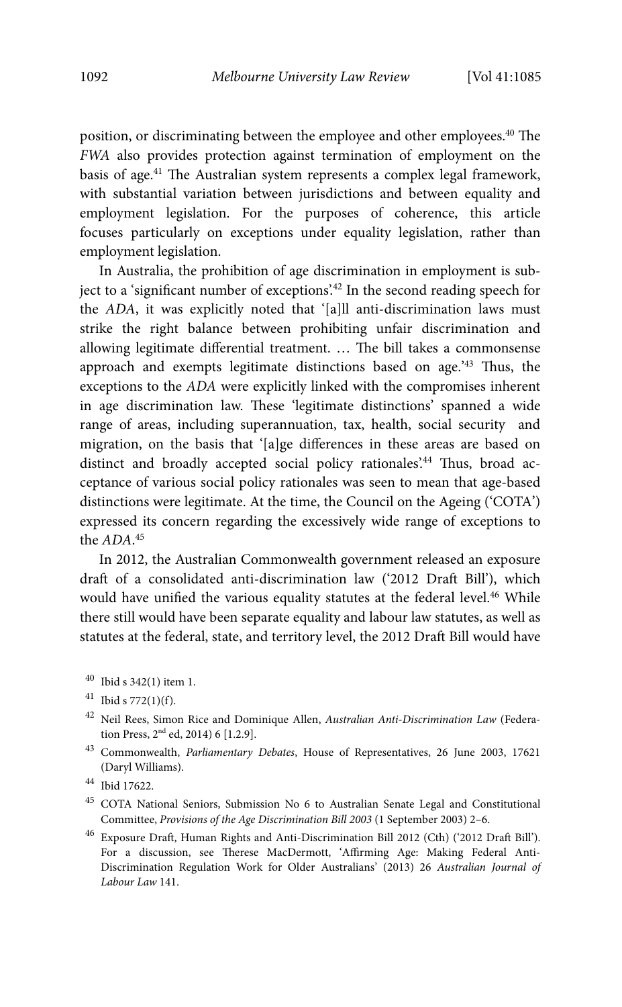position, or discriminating between the employee and other employees.<sup>40</sup> The FWA also provides protection against termination of employment on the basis of age.41 The Australian system represents a complex legal framework, with substantial variation between jurisdictions and between equality and employment legislation. For the purposes of coherence, this article focuses particularly on exceptions under equality legislation, rather than employment legislation.

In Australia, the prohibition of age discrimination in employment is subject to a 'significant number of exceptions'.<sup>42</sup> In the second reading speech for the ADA, it was explicitly noted that '[a]ll anti-discrimination laws must strike the right balance between prohibiting unfair discrimination and allowing legitimate differential treatment. … The bill takes a commonsense approach and exempts legitimate distinctions based on age.'43 Thus, the exceptions to the ADA were explicitly linked with the compromises inherent in age discrimination law. These 'legitimate distinctions' spanned a wide range of areas, including superannuation, tax, health, social security and migration, on the basis that '[a]ge differences in these areas are based on distinct and broadly accepted social policy rationales'.<sup>44</sup> Thus, broad acceptance of various social policy rationales was seen to mean that age-based distinctions were legitimate. At the time, the Council on the Ageing ('COTA') expressed its concern regarding the excessively wide range of exceptions to the ADA. 45

In 2012, the Australian Commonwealth government released an exposure draft of a consolidated anti-discrimination law ('2012 Draft Bill'), which would have unified the various equality statutes at the federal level.<sup>46</sup> While there still would have been separate equality and labour law statutes, as well as statutes at the federal, state, and territory level, the 2012 Draft Bill would have

40 Ibid s 342(1) item 1.

- $42$  Neil Rees, Simon Rice and Dominique Allen, Australian Anti-Discrimination Law (Federation Press, 2nd ed, 2014) 6 [1.2.9].
- 43 Commonwealth, Parliamentary Debates, House of Representatives, 26 June 2003, 17621 (Daryl Williams).

46 Exposure Draft, Human Rights and Anti-Discrimination Bill 2012 (Cth) ('2012 Draft Bill'). For a discussion, see Therese MacDermott, 'Affirming Age: Making Federal Anti-Discrimination Regulation Work for Older Australians' (2013) 26 Australian Journal of Labour Law 141.

 $41$  Ibid s 772(1)(f).

<sup>44</sup> Ibid 17622.

<sup>45</sup> COTA National Seniors, Submission No 6 to Australian Senate Legal and Constitutional Committee, Provisions of the Age Discrimination Bill 2003 (1 September 2003) 2–6.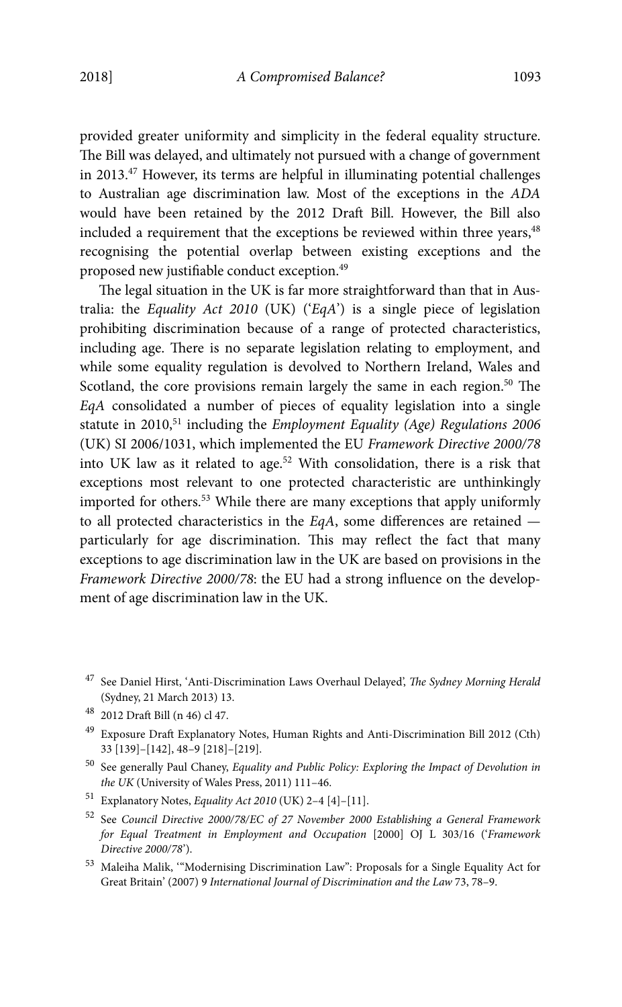provided greater uniformity and simplicity in the federal equality structure. The Bill was delayed, and ultimately not pursued with a change of government in 2013.47 However, its terms are helpful in illuminating potential challenges to Australian age discrimination law. Most of the exceptions in the ADA would have been retained by the 2012 Draft Bill. However, the Bill also included a requirement that the exceptions be reviewed within three years,<sup>48</sup> recognising the potential overlap between existing exceptions and the proposed new justifiable conduct exception.49

The legal situation in the UK is far more straightforward than that in Australia: the Equality Act 2010 (UK) ('EqA') is a single piece of legislation prohibiting discrimination because of a range of protected characteristics, including age. There is no separate legislation relating to employment, and while some equality regulation is devolved to Northern Ireland, Wales and Scotland, the core provisions remain largely the same in each region.<sup>50</sup> The EqA consolidated a number of pieces of equality legislation into a single statute in 2010,<sup>51</sup> including the *Employment Equality (Age) Regulations 2006* (UK) SI 2006/1031, which implemented the EU Framework Directive 2000/78 into UK law as it related to age.<sup>52</sup> With consolidation, there is a risk that exceptions most relevant to one protected characteristic are unthinkingly imported for others.53 While there are many exceptions that apply uniformly to all protected characteristics in the EqA, some differences are retained particularly for age discrimination. This may reflect the fact that many exceptions to age discrimination law in the UK are based on provisions in the Framework Directive 2000/78: the EU had a strong influence on the development of age discrimination law in the UK.

- <sup>47</sup> See Daniel Hirst, 'Anti-Discrimination Laws Overhaul Delayed', The Sydney Morning Herald (Sydney, 21 March 2013) 13.
- 48 2012 Draft Bill (n 46) cl 47.
- 49 Exposure Draft Explanatory Notes, Human Rights and Anti-Discrimination Bill 2012 (Cth) 33 [139]–[142], 48–9 [218]–[219].
- $^{50}\,$  See generally Paul Chaney, Equality and Public Policy: Exploring the Impact of Devolution in the UK (University of Wales Press, 2011) 111–46.
- 51 Explanatory Notes, Equality Act 2010 (UK) 2–4 [4]–[11].
- 52 See Council Directive 2000/78/EC of 27 November 2000 Establishing a General Framework for Equal Treatment in Employment and Occupation [2000] OJ L 303/16 ('Framework Directive 2000/78').
- $^{\rm 53}$  Maleiha Malik, ""Modernising Discrimination Law": Proposals for a Single Equality Act for Great Britain' (2007) 9 International Journal of Discrimination and the Law 73, 78–9.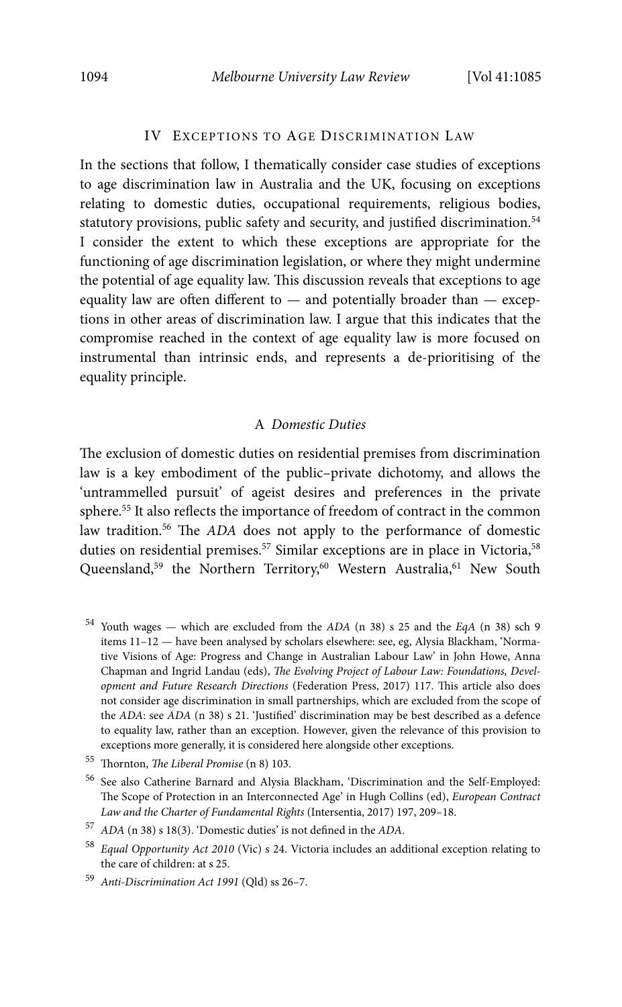#### IV EXCEPTIONS TO AGE DISCRIMINATION LAW

In the sections that follow, I thematically consider case studies of exceptions to age discrimination law in Australia and the UK, focusing on exceptions relating to domestic duties, occupational requirements, religious bodies, statutory provisions, public safety and security, and justified discrimination.<sup>54</sup> I consider the extent to which these exceptions are appropriate for the functioning of age discrimination legislation, or where they might undermine the potential of age equality law. This discussion reveals that exceptions to age equality law are often different to — and potentially broader than — exceptions in other areas of discrimination law. I argue that this indicates that the compromise reached in the context of age equality law is more focused on instrumental than intrinsic ends, and represents a de-prioritising of the equality principle.

### A Domestic Duties

The exclusion of domestic duties on residential premises from discrimination law is a key embodiment of the public–private dichotomy, and allows the 'untrammelled pursuit' of ageist desires and preferences in the private sphere.55 It also reflects the importance of freedom of contract in the common law tradition.<sup>56</sup> The ADA does not apply to the performance of domestic duties on residential premises.<sup>57</sup> Similar exceptions are in place in Victoria,<sup>58</sup> Queensland,<sup>59</sup> the Northern Territory,<sup>60</sup> Western Australia,<sup>61</sup> New South

 $54$  Youth wages — which are excluded from the ADA (n 38) s 25 and the EqA (n 38) sch 9 items 11–12 — have been analysed by scholars elsewhere: see, eg, Alysia Blackham, 'Normative Visions of Age: Progress and Change in Australian Labour Law' in John Howe, Anna Chapman and Ingrid Landau (eds), The Evolving Project of Labour Law: Foundations, Development and Future Research Directions (Federation Press, 2017) 117. This article also does not consider age discrimination in small partnerships, which are excluded from the scope of the ADA: see ADA (n 38) s 21. 'Justified' discrimination may be best described as a defence to equality law, rather than an exception. However, given the relevance of this provision to exceptions more generally, it is considered here alongside other exceptions.

<sup>55</sup> Thornton, The Liberal Promise (n 8) 103.

<sup>56</sup> See also Catherine Barnard and Alysia Blackham, 'Discrimination and the Self-Employed: The Scope of Protection in an Interconnected Age' in Hugh Collins (ed), European Contract Law and the Charter of Fundamental Rights (Intersentia, 2017) 197, 209–18.

 $57$  ADA (n 38) s 18(3). 'Domestic duties' is not defined in the ADA.

<sup>58</sup> Equal Opportunity Act 2010 (Vic) s 24. Victoria includes an additional exception relating to the care of children: at s 25.

<sup>59</sup> Anti-Discrimination Act 1991 (Qld) ss 26–7.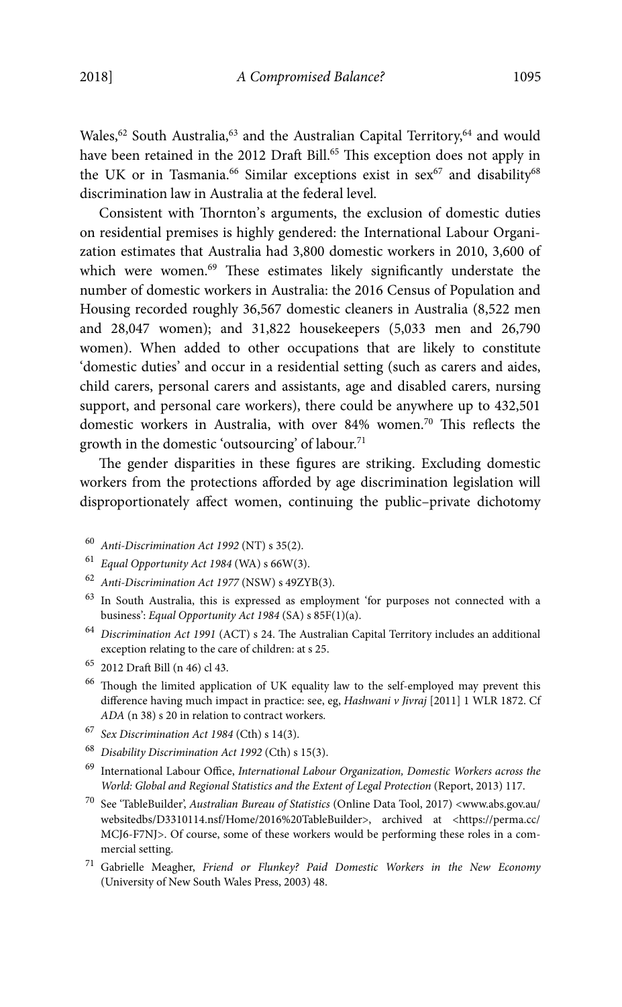Wales,<sup>62</sup> South Australia,<sup>63</sup> and the Australian Capital Territory,<sup>64</sup> and would have been retained in the 2012 Draft Bill.<sup>65</sup> This exception does not apply in the UK or in Tasmania.<sup>66</sup> Similar exceptions exist in sex<sup>67</sup> and disability<sup>68</sup> discrimination law in Australia at the federal level.

Consistent with Thornton's arguments, the exclusion of domestic duties on residential premises is highly gendered: the International Labour Organization estimates that Australia had 3,800 domestic workers in 2010, 3,600 of which were women.<sup>69</sup> These estimates likely significantly understate the number of domestic workers in Australia: the 2016 Census of Population and Housing recorded roughly 36,567 domestic cleaners in Australia (8,522 men and 28,047 women); and 31,822 housekeepers (5,033 men and 26,790 women). When added to other occupations that are likely to constitute 'domestic duties' and occur in a residential setting (such as carers and aides, child carers, personal carers and assistants, age and disabled carers, nursing support, and personal care workers), there could be anywhere up to 432,501 domestic workers in Australia, with over 84% women.<sup>70</sup> This reflects the growth in the domestic 'outsourcing' of labour.<sup>71</sup>

The gender disparities in these figures are striking. Excluding domestic workers from the protections afforded by age discrimination legislation will disproportionately affect women, continuing the public–private dichotomy

- $60$  Anti-Discrimination Act 1992 (NT) s 35(2).
- $61$  Equal Opportunity Act 1984 (WA) s 66W(3).
- <sup>62</sup> Anti-Discrimination Act 1977 (NSW) s 49ZYB(3).
- 63 In South Australia, this is expressed as employment 'for purposes not connected with a business': Equal Opportunity Act 1984 (SA) s 85F(1)(a).
- <sup>64</sup> Discrimination Act 1991 (ACT) s 24. The Australian Capital Territory includes an additional exception relating to the care of children: at s 25.
- 65 2012 Draft Bill (n 46) cl 43.
- <sup>66</sup> Though the limited application of UK equality law to the self-employed may prevent this difference having much impact in practice: see, eg, Hashwani v Jivraj [2011] 1 WLR 1872. Cf ADA (n 38) s 20 in relation to contract workers.
- $^{67}$  Sex Discrimination Act 1984 (Cth) s 14(3).
- <sup>68</sup> Disability Discrimination Act 1992 (Cth) s 15(3).
- <sup>69</sup> International Labour Office, International Labour Organization, Domestic Workers across the World: Global and Regional Statistics and the Extent of Legal Protection (Report, 2013) 117.
- $^{70}\,$  See 'TableBuilder', Australian Bureau of Statistics (Online Data Tool, 2017) <www.abs.gov.au/ websitedbs/D3310114.nsf/Home/2016%20TableBuilder>, archived at <https://perma.cc/ MCJ6-F7NJ>. Of course, some of these workers would be performing these roles in a commercial setting.
- $71$  Gabrielle Meagher, Friend or Flunkey? Paid Domestic Workers in the New Economy (University of New South Wales Press, 2003) 48.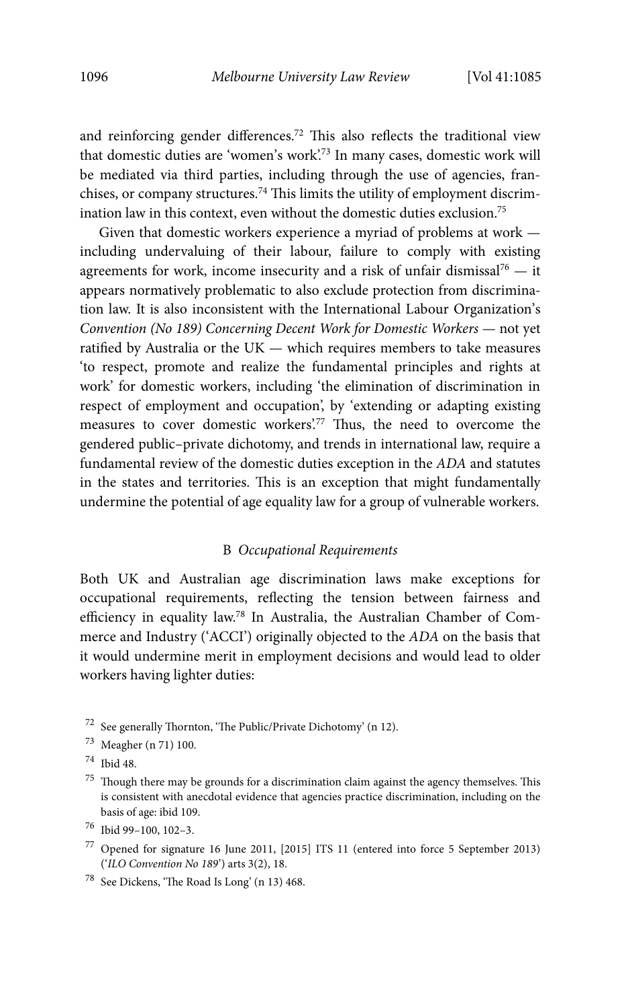and reinforcing gender differences.72 This also reflects the traditional view that domestic duties are 'women's work'.<sup>73</sup> In many cases, domestic work will be mediated via third parties, including through the use of agencies, franchises, or company structures.74 This limits the utility of employment discrimination law in this context, even without the domestic duties exclusion.<sup>75</sup>

Given that domestic workers experience a myriad of problems at work including undervaluing of their labour, failure to comply with existing agreements for work, income insecurity and a risk of unfair dismissal<sup>76</sup>  $-$  it appears normatively problematic to also exclude protection from discrimination law. It is also inconsistent with the International Labour Organization's Convention (No 189) Concerning Decent Work for Domestic Workers — not yet ratified by Australia or the UK — which requires members to take measures 'to respect, promote and realize the fundamental principles and rights at work' for domestic workers, including 'the elimination of discrimination in respect of employment and occupation', by 'extending or adapting existing measures to cover domestic workers'.77 Thus, the need to overcome the gendered public–private dichotomy, and trends in international law, require a fundamental review of the domestic duties exception in the ADA and statutes in the states and territories. This is an exception that might fundamentally undermine the potential of age equality law for a group of vulnerable workers.

#### B Occupational Requirements

Both UK and Australian age discrimination laws make exceptions for occupational requirements, reflecting the tension between fairness and efficiency in equality law.78 In Australia, the Australian Chamber of Commerce and Industry ('ACCI') originally objected to the ADA on the basis that it would undermine merit in employment decisions and would lead to older workers having lighter duties:

 $72$  See generally Thornton, 'The Public/Private Dichotomy' (n 12).

- 73 Meagher (n 71) 100.
- 74 Ibid 48.

- 77 Opened for signature 16 June 2011, [2015] ITS 11 (entered into force 5 September 2013) ('ILO Convention No 189') arts 3(2), 18.
- 78 See Dickens, 'The Road Is Long' (n 13) 468.

 $^{75}\,$  Though there may be grounds for a discrimination claim against the agency themselves. This is consistent with anecdotal evidence that agencies practice discrimination, including on the basis of age: ibid 109.

<sup>76</sup> Ibid 99–100, 102–3.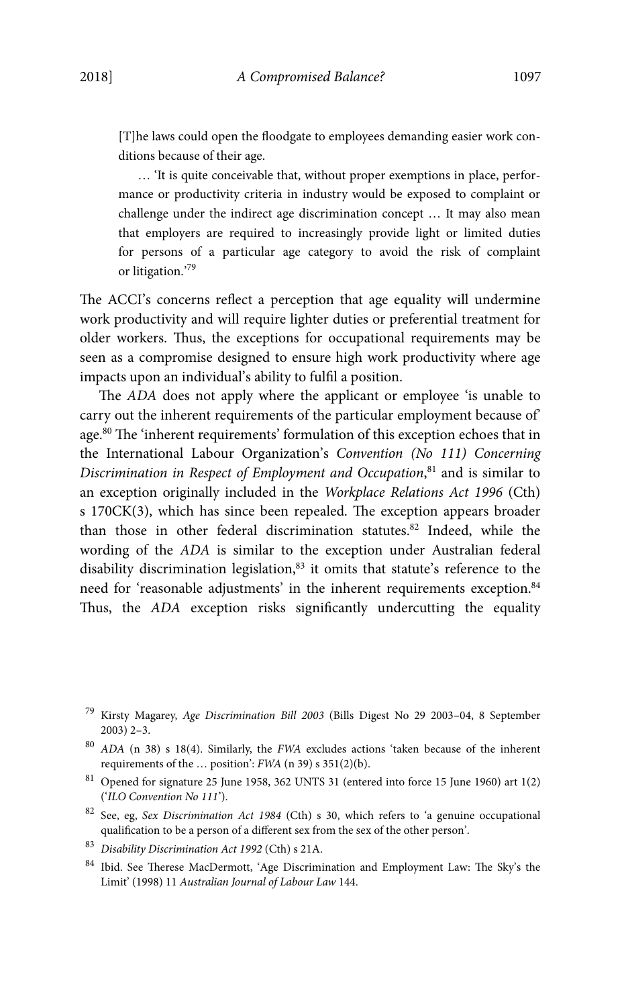[T]he laws could open the floodgate to employees demanding easier work conditions because of their age.

… 'It is quite conceivable that, without proper exemptions in place, performance or productivity criteria in industry would be exposed to complaint or challenge under the indirect age discrimination concept … It may also mean that employers are required to increasingly provide light or limited duties for persons of a particular age category to avoid the risk of complaint or litigation.'<sup>79</sup>

The ACCI's concerns reflect a perception that age equality will undermine work productivity and will require lighter duties or preferential treatment for older workers. Thus, the exceptions for occupational requirements may be seen as a compromise designed to ensure high work productivity where age impacts upon an individual's ability to fulfil a position.

The ADA does not apply where the applicant or employee 'is unable to carry out the inherent requirements of the particular employment because of' age.80 The 'inherent requirements' formulation of this exception echoes that in the International Labour Organization's Convention (No 111) Concerning Discrimination in Respect of Employment and Occupation,<sup>81</sup> and is similar to an exception originally included in the Workplace Relations Act 1996 (Cth) s 170CK(3), which has since been repealed. The exception appears broader than those in other federal discrimination statutes.<sup>82</sup> Indeed, while the wording of the ADA is similar to the exception under Australian federal disability discrimination legislation,<sup>83</sup> it omits that statute's reference to the need for 'reasonable adjustments' in the inherent requirements exception.<sup>84</sup> Thus, the ADA exception risks significantly undercutting the equality

<sup>83</sup> Disability Discrimination Act 1992 (Cth) s 21A.

<sup>79</sup> Kirsty Magarey, Age Discrimination Bill 2003 (Bills Digest No 29 2003–04, 8 September 2003) 2–3.

<sup>80</sup> ADA (n 38) s 18(4). Similarly, the FWA excludes actions 'taken because of the inherent requirements of the … position': FWA (n 39) s 351(2)(b).

 $^{81}$  Opened for signature 25 June 1958, 362 UNTS 31 (entered into force 15 June 1960) art 1(2) ('ILO Convention No 111').

<sup>82</sup> See, eg, Sex Discrimination Act 1984 (Cth) s 30, which refers to 'a genuine occupational qualification to be a person of a different sex from the sex of the other person'.

<sup>84</sup> Ibid. See Therese MacDermott, 'Age Discrimination and Employment Law: The Sky's the Limit' (1998) 11 Australian Journal of Labour Law 144.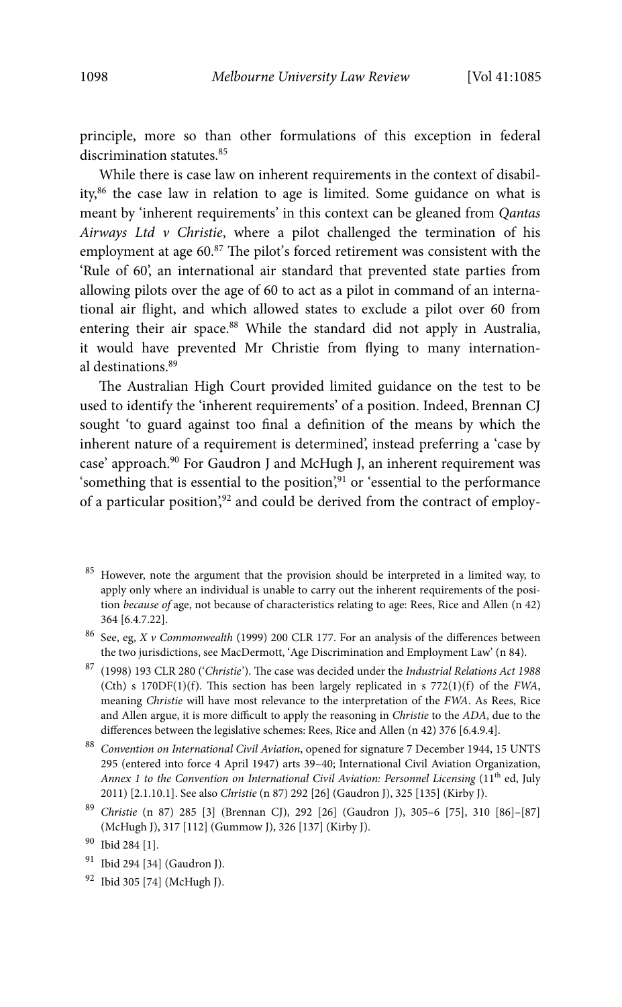principle, more so than other formulations of this exception in federal discrimination statutes.<sup>85</sup>

While there is case law on inherent requirements in the context of disability,86 the case law in relation to age is limited. Some guidance on what is meant by 'inherent requirements' in this context can be gleaned from Qantas Airways Ltd  $\nu$  Christie, where a pilot challenged the termination of his employment at age 60.<sup>87</sup> The pilot's forced retirement was consistent with the 'Rule of 60', an international air standard that prevented state parties from allowing pilots over the age of 60 to act as a pilot in command of an international air flight, and which allowed states to exclude a pilot over 60 from entering their air space.<sup>88</sup> While the standard did not apply in Australia, it would have prevented Mr Christie from flying to many international destinations.89

The Australian High Court provided limited guidance on the test to be used to identify the 'inherent requirements' of a position. Indeed, Brennan CJ sought 'to guard against too final a definition of the means by which the inherent nature of a requirement is determined', instead preferring a 'case by case' approach.<sup>90</sup> For Gaudron J and McHugh J, an inherent requirement was 'something that is essential to the position',<sup>91</sup> or 'essential to the performance of a particular position',<sup>92</sup> and could be derived from the contract of employ-

<sup>89</sup> Christie (n 87) 285 [3] (Brennan CJ), 292 [26] (Gaudron J), 305–6 [75], 310 [86]–[87] (McHugh J), 317 [112] (Gummow J), 326 [137] (Kirby J).

<sup>&</sup>lt;sup>85</sup> However, note the argument that the provision should be interpreted in a limited way, to apply only where an individual is unable to carry out the inherent requirements of the position because of age, not because of characteristics relating to age: Rees, Rice and Allen (n 42) 364 [6.4.7.22].

 $^{86}$  See, eg, X v Commonwealth (1999) 200 CLR 177. For an analysis of the differences between the two jurisdictions, see MacDermott, 'Age Discrimination and Employment Law' (n 84).

 $^{87}\,$  (1998) 193 CLR 280 ('Christie'). The case was decided under the Industrial Relations Act 1988 (Cth) s  $170DF(1)(f)$ . This section has been largely replicated in s  $772(1)(f)$  of the FWA, meaning Christie will have most relevance to the interpretation of the FWA. As Rees, Rice and Allen argue, it is more difficult to apply the reasoning in Christie to the ADA, due to the differences between the legislative schemes: Rees, Rice and Allen (n 42) 376 [6.4.9.4].

<sup>88</sup> Convention on International Civil Aviation, opened for signature 7 December 1944, 15 UNTS 295 (entered into force 4 April 1947) arts 39–40; International Civil Aviation Organization, Annex 1 to the Convention on International Civil Aviation: Personnel Licensing  $(11<sup>th</sup>$  ed, July 2011) [2.1.10.1]. See also Christie (n 87) 292 [26] (Gaudron J), 325 [135] (Kirby J).

<sup>90</sup> Ibid 284 [1].

<sup>&</sup>lt;sup>91</sup> Ibid 294 [34] (Gaudron J).

<sup>92</sup> Ibid 305 [74] (McHugh J).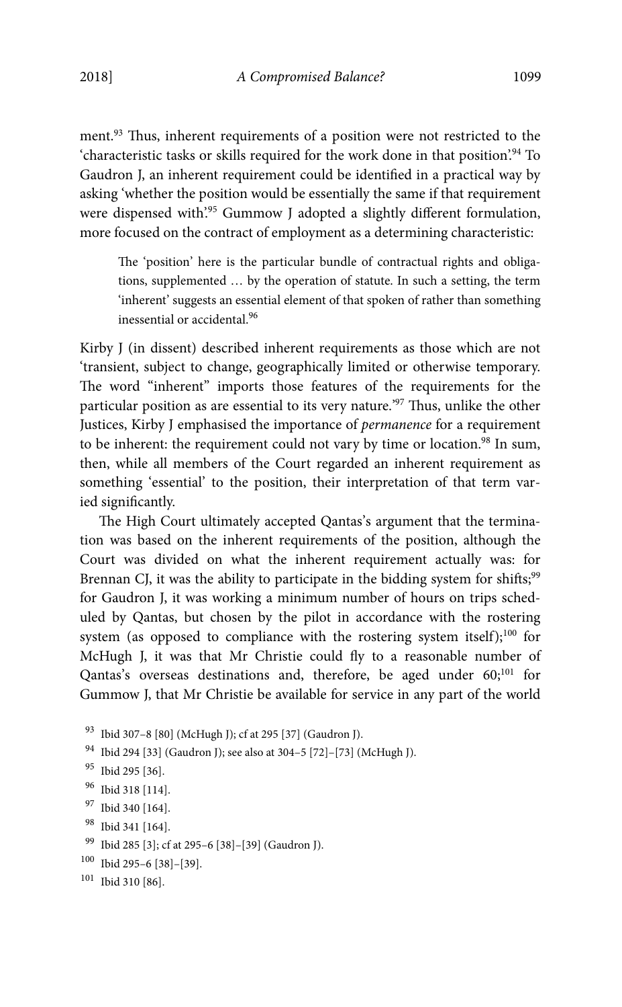ment.<sup>93</sup> Thus, inherent requirements of a position were not restricted to the 'characteristic tasks or skills required for the work done in that position'.<sup>94</sup> To Gaudron J, an inherent requirement could be identified in a practical way by asking 'whether the position would be essentially the same if that requirement were dispensed with'.95 Gummow J adopted a slightly different formulation, more focused on the contract of employment as a determining characteristic:

The 'position' here is the particular bundle of contractual rights and obligations, supplemented … by the operation of statute. In such a setting, the term 'inherent' suggests an essential element of that spoken of rather than something inessential or accidental.<sup>96</sup>

Kirby J (in dissent) described inherent requirements as those which are not 'transient, subject to change, geographically limited or otherwise temporary. The word "inherent" imports those features of the requirements for the particular position as are essential to its very nature.'97 Thus, unlike the other Justices, Kirby J emphasised the importance of permanence for a requirement to be inherent: the requirement could not vary by time or location.<sup>98</sup> In sum, then, while all members of the Court regarded an inherent requirement as something 'essential' to the position, their interpretation of that term varied significantly.

The High Court ultimately accepted Qantas's argument that the termination was based on the inherent requirements of the position, although the Court was divided on what the inherent requirement actually was: for Brennan CJ, it was the ability to participate in the bidding system for shifts;<sup>99</sup> for Gaudron J, it was working a minimum number of hours on trips scheduled by Qantas, but chosen by the pilot in accordance with the rostering system (as opposed to compliance with the rostering system itself);<sup>100</sup> for McHugh J, it was that Mr Christie could fly to a reasonable number of Qantas's overseas destinations and, therefore, be aged under 60;<sup>101</sup> for Gummow J, that Mr Christie be available for service in any part of the world

```
93 Ibid 307–8 [80] (McHugh J); cf at 295 [37] (Gaudron J).
```
- 94 Ibid 294 [33] (Gaudron J); see also at 304–5 [72]–[73] (McHugh J).
- 95 Ibid 295 [36].
- 96 Ibid 318 [114].
- 97 Ibid 340 [164].
- 98 Ibid 341 [164].
- 99 Ibid 285 [3]; cf at 295–6 [38]–[39] (Gaudron J).
- $100$  Ibid 295-6 [38]-[39].

```
101 Ibid 310 [86].
```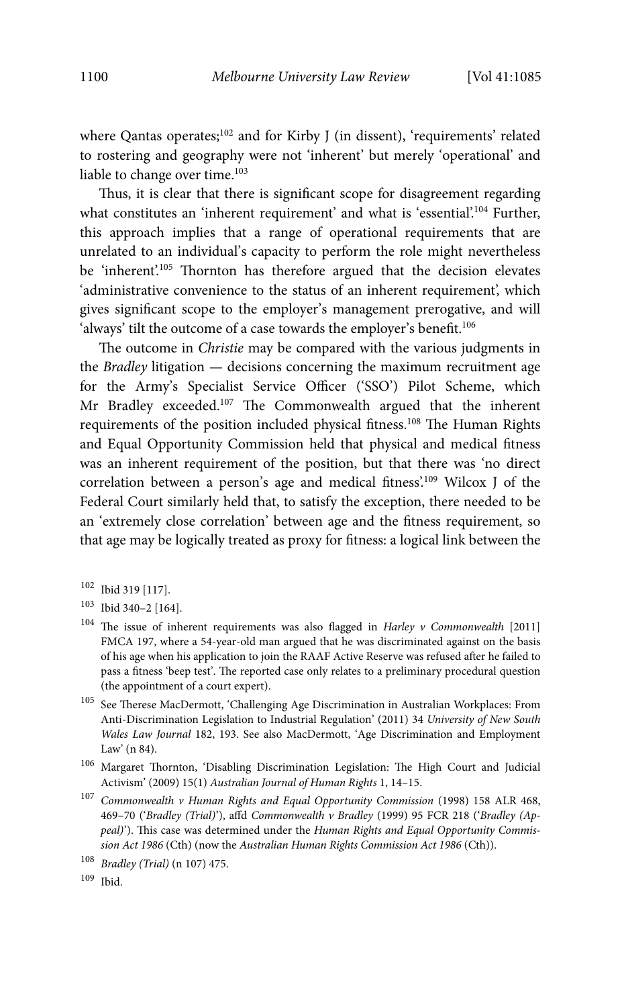where Qantas operates;<sup>102</sup> and for Kirby J (in dissent), 'requirements' related to rostering and geography were not 'inherent' but merely 'operational' and liable to change over time.<sup>103</sup>

Thus, it is clear that there is significant scope for disagreement regarding what constitutes an 'inherent requirement' and what is 'essential'.<sup>104</sup> Further, this approach implies that a range of operational requirements that are unrelated to an individual's capacity to perform the role might nevertheless be 'inherent'.<sup>105</sup> Thornton has therefore argued that the decision elevates 'administrative convenience to the status of an inherent requirement', which gives significant scope to the employer's management prerogative, and will 'always' tilt the outcome of a case towards the employer's benefit.<sup>106</sup>

The outcome in Christie may be compared with the various judgments in the Bradley litigation — decisions concerning the maximum recruitment age for the Army's Specialist Service Officer ('SSO') Pilot Scheme, which Mr Bradley exceeded.107 The Commonwealth argued that the inherent requirements of the position included physical fitness.108 The Human Rights and Equal Opportunity Commission held that physical and medical fitness was an inherent requirement of the position, but that there was 'no direct correlation between a person's age and medical fitness'.109 Wilcox J of the Federal Court similarly held that, to satisfy the exception, there needed to be an 'extremely close correlation' between age and the fitness requirement, so that age may be logically treated as proxy for fitness: a logical link between the

- 102 Ibid 319 [117].
- 103 Ibid 340–2 [164].
- $104$  The issue of inherent requirements was also flagged in Harley v Commonwealth [2011] FMCA 197, where a 54-year-old man argued that he was discriminated against on the basis of his age when his application to join the RAAF Active Reserve was refused after he failed to pass a fitness 'beep test'. The reported case only relates to a preliminary procedural question (the appointment of a court expert).
- $^{105}\,$  See Therese MacDermott, 'Challenging Age Discrimination in Australian Workplaces: From Anti-Discrimination Legislation to Industrial Regulation' (2011) 34 University of New South Wales Law Journal 182, 193. See also MacDermott, 'Age Discrimination and Employment Law' (n 84).
- 106 Margaret Thornton, 'Disabling Discrimination Legislation: The High Court and Judicial Activism' (2009) 15(1) Australian Journal of Human Rights 1, 14–15.
- $^{107}$  Commonwealth v Human Rights and Equal Opportunity Commission (1998) 158 ALR 468, 469–70 ('Bradley (Trial)'), affd Commonwealth v Bradley (1999) 95 FCR 218 ('Bradley (Appeal)'). This case was determined under the Human Rights and Equal Opportunity Commission Act 1986 (Cth) (now the Australian Human Rights Commission Act 1986 (Cth)).

<sup>108</sup> Bradley (Trial) (n 107) 475.

<sup>109</sup> Ibid.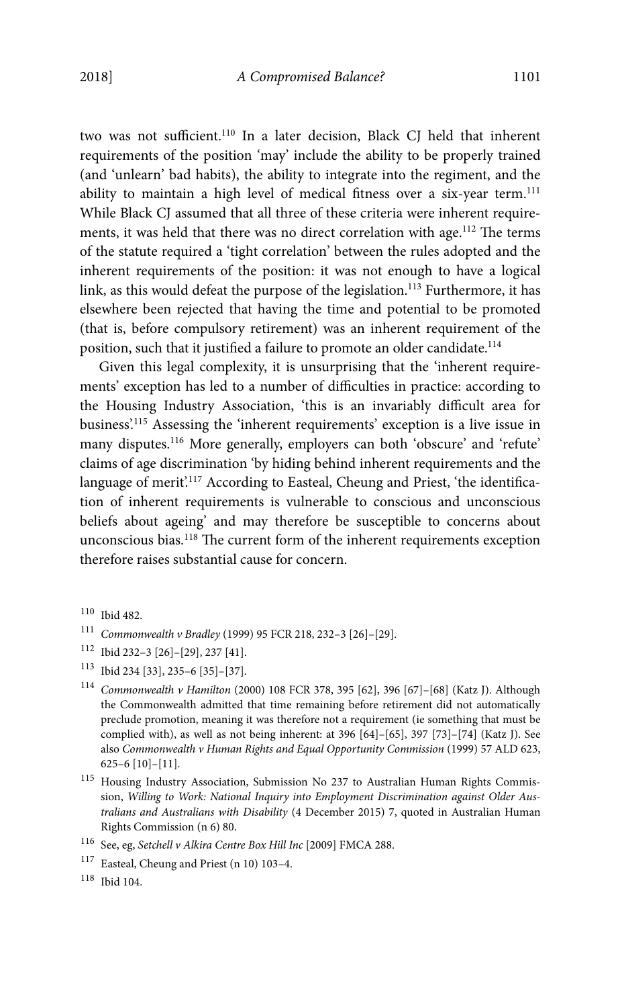two was not sufficient.<sup>110</sup> In a later decision, Black CJ held that inherent requirements of the position 'may' include the ability to be properly trained (and 'unlearn' bad habits), the ability to integrate into the regiment, and the ability to maintain a high level of medical fitness over a six-year term.<sup>111</sup> While Black CJ assumed that all three of these criteria were inherent requirements, it was held that there was no direct correlation with age.<sup>112</sup> The terms of the statute required a 'tight correlation' between the rules adopted and the inherent requirements of the position: it was not enough to have a logical link, as this would defeat the purpose of the legislation.<sup>113</sup> Furthermore, it has elsewhere been rejected that having the time and potential to be promoted (that is, before compulsory retirement) was an inherent requirement of the position, such that it justified a failure to promote an older candidate.<sup>114</sup>

Given this legal complexity, it is unsurprising that the 'inherent requirements' exception has led to a number of difficulties in practice: according to the Housing Industry Association, 'this is an invariably difficult area for business'.115 Assessing the 'inherent requirements' exception is a live issue in many disputes.<sup>116</sup> More generally, employers can both 'obscure' and 'refute' claims of age discrimination 'by hiding behind inherent requirements and the language of merit.<sup>117</sup> According to Easteal, Cheung and Priest, 'the identification of inherent requirements is vulnerable to conscious and unconscious beliefs about ageing' and may therefore be susceptible to concerns about unconscious bias.<sup>118</sup> The current form of the inherent requirements exception therefore raises substantial cause for concern.

118 Ibid 104.

<sup>110</sup> Ibid 482.

<sup>111</sup> Commonwealth v Bradley (1999) 95 FCR 218, 232–3 [26]–[29].

<sup>112</sup> Ibid 232–3 [26]–[29], 237 [41].

<sup>113</sup> Ibid 234 [33], 235–6 [35]–[37].

<sup>114</sup> Commonwealth v Hamilton (2000) 108 FCR 378, 395 [62], 396 [67]–[68] (Katz J). Although the Commonwealth admitted that time remaining before retirement did not automatically preclude promotion, meaning it was therefore not a requirement (ie something that must be complied with), as well as not being inherent: at 396 [64]–[65], 397 [73]–[74] (Katz J). See also Commonwealth v Human Rights and Equal Opportunity Commission (1999) 57 ALD 623, 625–6 [10]–[11].

<sup>115</sup> Housing Industry Association, Submission No 237 to Australian Human Rights Commission, Willing to Work: National Inquiry into Employment Discrimination against Older Australians and Australians with Disability (4 December 2015) 7, quoted in Australian Human Rights Commission (n 6) 80.

 $^{116}\,$  See, eg, Setchell v Alkira Centre Box Hill Inc [2009] FMCA 288.

<sup>117</sup> Easteal, Cheung and Priest (n 10) 103–4.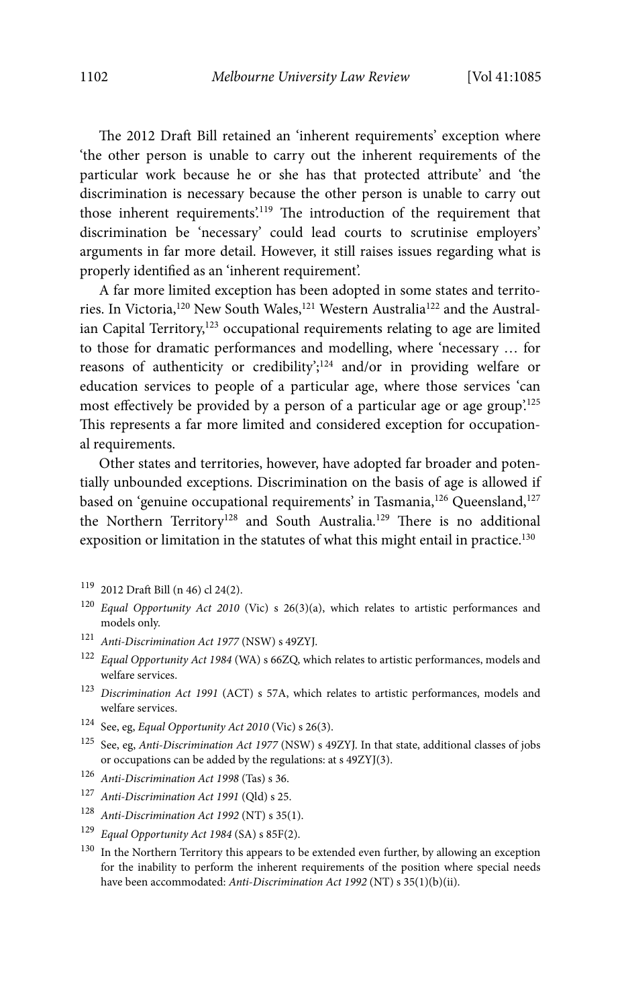The 2012 Draft Bill retained an 'inherent requirements' exception where 'the other person is unable to carry out the inherent requirements of the particular work because he or she has that protected attribute' and 'the discrimination is necessary because the other person is unable to carry out those inherent requirements'.119 The introduction of the requirement that discrimination be 'necessary' could lead courts to scrutinise employers' arguments in far more detail. However, it still raises issues regarding what is properly identified as an 'inherent requirement'.

A far more limited exception has been adopted in some states and territories. In Victoria,<sup>120</sup> New South Wales,<sup>121</sup> Western Australia<sup>122</sup> and the Australian Capital Territory, $123$  occupational requirements relating to age are limited to those for dramatic performances and modelling, where 'necessary … for reasons of authenticity or credibility';<sup>124</sup> and/or in providing welfare or education services to people of a particular age, where those services 'can most effectively be provided by a person of a particular age or age group.<sup>125</sup> This represents a far more limited and considered exception for occupational requirements.

Other states and territories, however, have adopted far broader and potentially unbounded exceptions. Discrimination on the basis of age is allowed if based on 'genuine occupational requirements' in Tasmania,<sup>126</sup> Queensland,<sup>127</sup> the Northern Territory<sup>128</sup> and South Australia.<sup>129</sup> There is no additional exposition or limitation in the statutes of what this might entail in practice.<sup>130</sup>

- 119 2012 Draft Bill (n 46) cl 24(2).
- $120$  Equal Opportunity Act 2010 (Vic) s 26(3)(a), which relates to artistic performances and models only.
- <sup>121</sup> Anti-Discrimination Act 1977 (NSW) s 49ZYJ.
- $^{122}\,$  Equal Opportunity Act 1984 (WA) s 66ZQ, which relates to artistic performances, models and welfare services.
- <sup>123</sup> Discrimination Act 1991 (ACT) s 57A, which relates to artistic performances, models and welfare services.
- 124 See, eg, Equal Opportunity Act 2010 (Vic) s 26(3).
- $^{125}\,$  See, eg, Anti-Discrimination Act 1977 (NSW) s 49ZYJ. In that state, additional classes of jobs or occupations can be added by the regulations: at s 49ZYJ(3).
- <sup>126</sup> Anti-Discrimination Act 1998 (Tas) s 36.
- 127 Anti-Discrimination Act 1991 (Qld) s 25.
- <sup>128</sup> Anti-Discrimination Act 1992 (NT) s 35(1).
- <sup>129</sup> Equal Opportunity Act 1984 (SA) s 85F(2).
- <sup>130</sup> In the Northern Territory this appears to be extended even further, by allowing an exception for the inability to perform the inherent requirements of the position where special needs have been accommodated: Anti-Discrimination Act 1992 (NT) s 35(1)(b)(ii).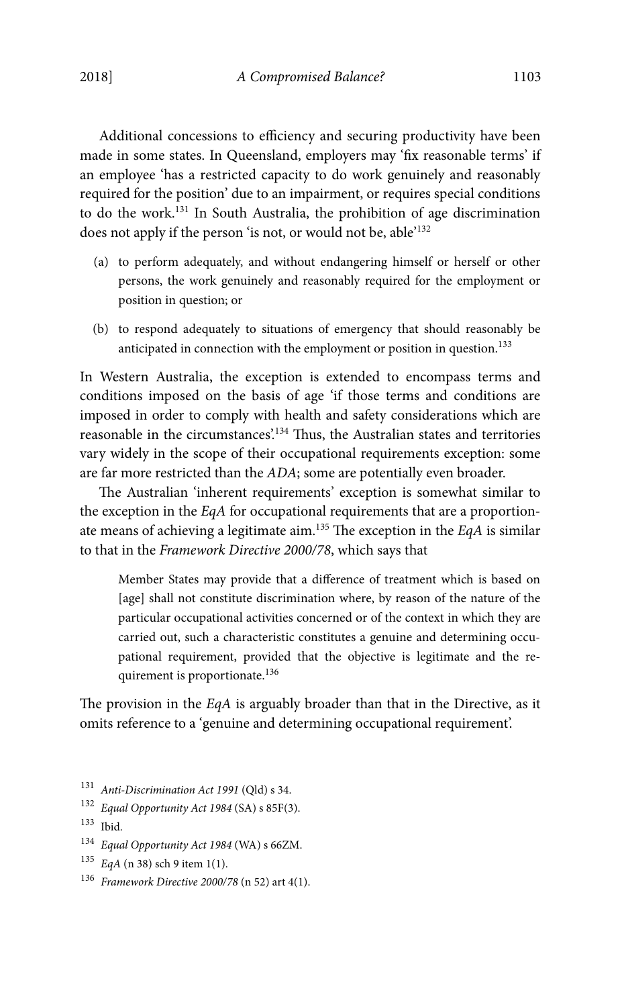Additional concessions to efficiency and securing productivity have been made in some states. In Queensland, employers may 'fix reasonable terms' if an employee 'has a restricted capacity to do work genuinely and reasonably required for the position' due to an impairment, or requires special conditions to do the work.131 In South Australia, the prohibition of age discrimination does not apply if the person 'is not, or would not be, able'132

- (a) to perform adequately, and without endangering himself or herself or other persons, the work genuinely and reasonably required for the employment or position in question; or
- (b) to respond adequately to situations of emergency that should reasonably be anticipated in connection with the employment or position in question.<sup>133</sup>

In Western Australia, the exception is extended to encompass terms and conditions imposed on the basis of age 'if those terms and conditions are imposed in order to comply with health and safety considerations which are reasonable in the circumstances'.134 Thus, the Australian states and territories vary widely in the scope of their occupational requirements exception: some are far more restricted than the ADA; some are potentially even broader.

The Australian 'inherent requirements' exception is somewhat similar to the exception in the EqA for occupational requirements that are a proportionate means of achieving a legitimate aim.<sup>135</sup> The exception in the  $EqA$  is similar to that in the Framework Directive 2000/78, which says that

Member States may provide that a difference of treatment which is based on [age] shall not constitute discrimination where, by reason of the nature of the particular occupational activities concerned or of the context in which they are carried out, such a characteristic constitutes a genuine and determining occupational requirement, provided that the objective is legitimate and the requirement is proportionate.<sup>136</sup>

The provision in the EqA is arguably broader than that in the Directive, as it omits reference to a 'genuine and determining occupational requirement'.

131 Anti-Discrimination Act 1991 (Qld) s 34.

133 Ibid.

- <sup>134</sup> Equal Opportunity Act 1984 (WA) s 66ZM.
- $135$  EqA (n 38) sch 9 item 1(1).
- <sup>136</sup> Framework Directive 2000/78 (n 52) art 4(1).

<sup>132</sup> Equal Opportunity Act 1984 (SA) s 85F(3).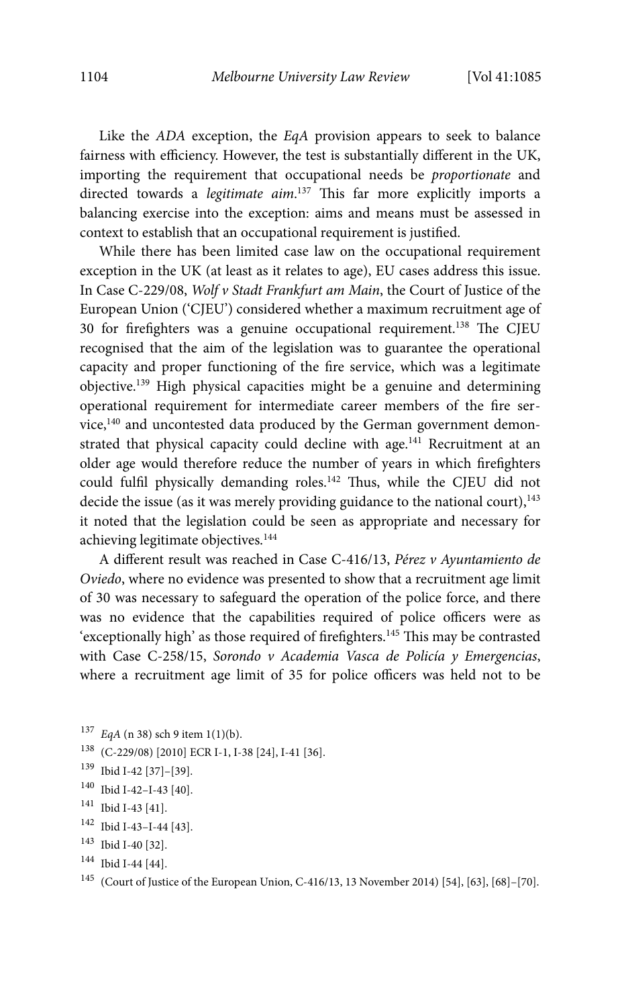Like the ADA exception, the EqA provision appears to seek to balance fairness with efficiency. However, the test is substantially different in the UK, importing the requirement that occupational needs be proportionate and directed towards a legitimate aim.<sup>137</sup> This far more explicitly imports a balancing exercise into the exception: aims and means must be assessed in context to establish that an occupational requirement is justified.

While there has been limited case law on the occupational requirement exception in the UK (at least as it relates to age), EU cases address this issue. In Case C-229/08, Wolf v Stadt Frankfurt am Main, the Court of Justice of the European Union ('CJEU') considered whether a maximum recruitment age of 30 for firefighters was a genuine occupational requirement.138 The CJEU recognised that the aim of the legislation was to guarantee the operational capacity and proper functioning of the fire service, which was a legitimate objective.139 High physical capacities might be a genuine and determining operational requirement for intermediate career members of the fire service,<sup>140</sup> and uncontested data produced by the German government demonstrated that physical capacity could decline with age.<sup>141</sup> Recruitment at an older age would therefore reduce the number of years in which firefighters could fulfil physically demanding roles.<sup>142</sup> Thus, while the CJEU did not decide the issue (as it was merely providing guidance to the national court),  $143$ it noted that the legislation could be seen as appropriate and necessary for achieving legitimate objectives.144

A different result was reached in Case C-416/13, Pérez v Ayuntamiento de Oviedo, where no evidence was presented to show that a recruitment age limit of 30 was necessary to safeguard the operation of the police force, and there was no evidence that the capabilities required of police officers were as 'exceptionally high' as those required of firefighters.<sup>145</sup> This may be contrasted with Case C-258/15, Sorondo v Academia Vasca de Policía y Emergencias, where a recruitment age limit of 35 for police officers was held not to be

- 138 (C-229/08) [2010] ECR I-1, I-38 [24], I-41 [36].
- 139 Ibid I-42 [37]–[39].
- 140 Ibid I-42–I-43 [40].
- 141 Ibid I-43 [41].
- 142 Ibid I-43–I-44 [43].
- 143 Ibid I-40 [32].
- 144 Ibid I-44 [44].

 $^{137}$   $EqA$  (n 38) sch 9 item 1(1)(b).

<sup>145 (</sup>Court of Justice of the European Union, C-416/13, 13 November 2014) [54], [63], [68]–[70].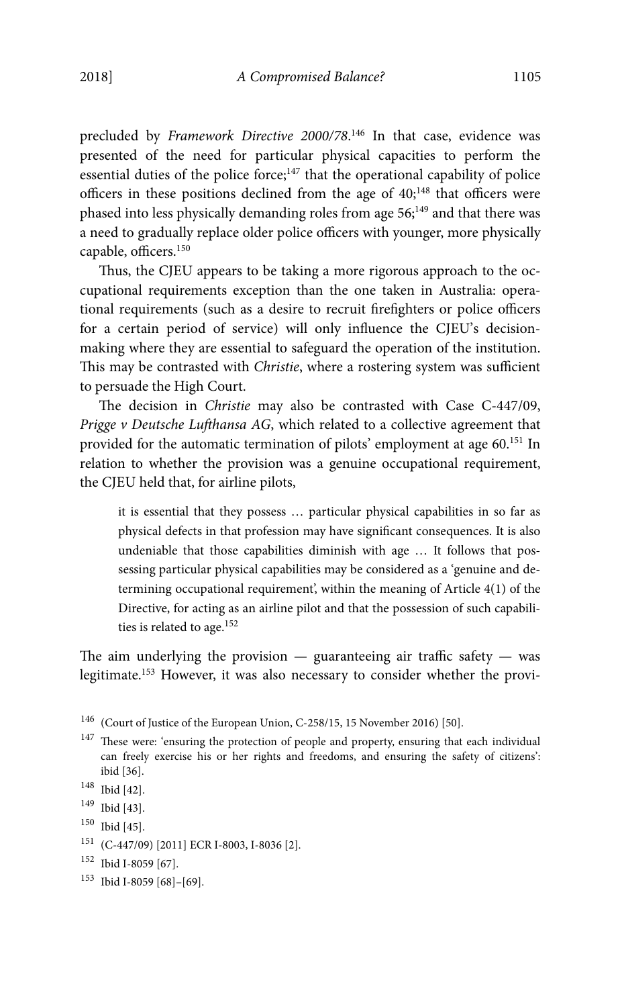precluded by Framework Directive 2000/78.<sup>146</sup> In that case, evidence was presented of the need for particular physical capacities to perform the essential duties of the police force; $147$  that the operational capability of police officers in these positions declined from the age of  $40$ ;<sup>148</sup> that officers were phased into less physically demanding roles from age 56;<sup>149</sup> and that there was a need to gradually replace older police officers with younger, more physically capable, officers.150

Thus, the CJEU appears to be taking a more rigorous approach to the occupational requirements exception than the one taken in Australia: operational requirements (such as a desire to recruit firefighters or police officers for a certain period of service) will only influence the CJEU's decisionmaking where they are essential to safeguard the operation of the institution. This may be contrasted with Christie, where a rostering system was sufficient to persuade the High Court.

The decision in Christie may also be contrasted with Case C-447/09, Prigge v Deutsche Lufthansa AG, which related to a collective agreement that provided for the automatic termination of pilots' employment at age 60.151 In relation to whether the provision was a genuine occupational requirement, the CJEU held that, for airline pilots,

it is essential that they possess … particular physical capabilities in so far as physical defects in that profession may have significant consequences. It is also undeniable that those capabilities diminish with age … It follows that possessing particular physical capabilities may be considered as a 'genuine and determining occupational requirement', within the meaning of Article 4(1) of the Directive, for acting as an airline pilot and that the possession of such capabilities is related to age.<sup>152</sup>

The aim underlying the provision  $-$  guaranteeing air traffic safety  $-$  was legitimate.153 However, it was also necessary to consider whether the provi-

- 150 Ibid [45].
- 151 (C-447/09) [2011] ECR I-8003, I-8036 [2].
- 152 Ibid I-8059 [67].
- 153 Ibid I-8059 [68]–[69].

<sup>146 (</sup>Court of Justice of the European Union, C-258/15, 15 November 2016) [50].

 $147$  These were: 'ensuring the protection of people and property, ensuring that each individual can freely exercise his or her rights and freedoms, and ensuring the safety of citizens': ibid [36].

<sup>148</sup> Ibid [42].

<sup>149</sup> Ibid [43].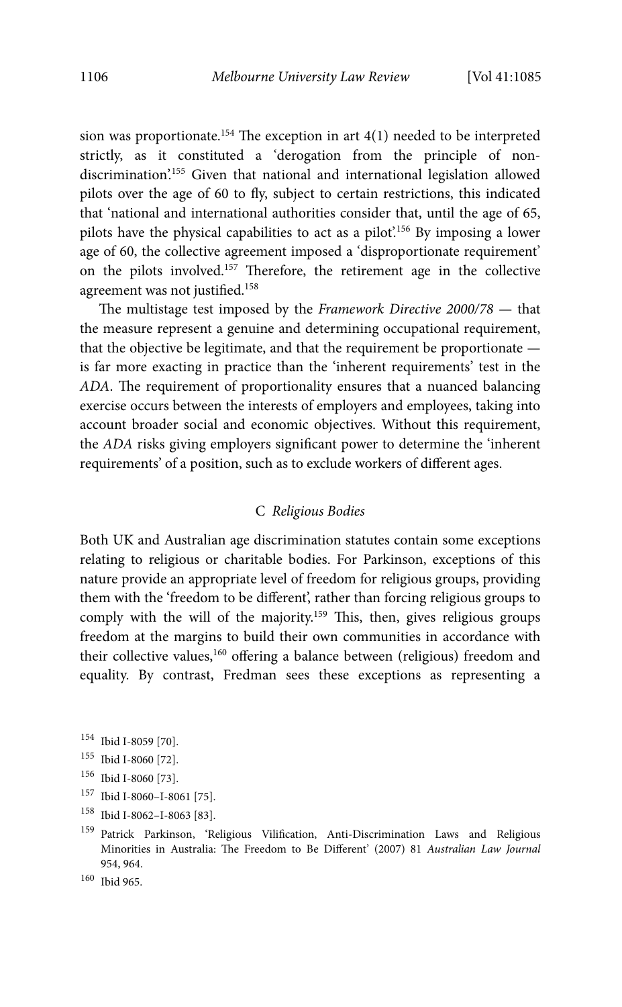sion was proportionate.<sup>154</sup> The exception in art  $4(1)$  needed to be interpreted strictly, as it constituted a 'derogation from the principle of nondiscrimination'.155 Given that national and international legislation allowed pilots over the age of 60 to fly, subject to certain restrictions, this indicated that 'national and international authorities consider that, until the age of 65, pilots have the physical capabilities to act as a pilot'.156 By imposing a lower age of 60, the collective agreement imposed a 'disproportionate requirement' on the pilots involved.157 Therefore, the retirement age in the collective agreement was not justified.158

The multistage test imposed by the Framework Directive 2000/78 — that the measure represent a genuine and determining occupational requirement, that the objective be legitimate, and that the requirement be proportionate is far more exacting in practice than the 'inherent requirements' test in the ADA. The requirement of proportionality ensures that a nuanced balancing exercise occurs between the interests of employers and employees, taking into account broader social and economic objectives. Without this requirement, the ADA risks giving employers significant power to determine the 'inherent requirements' of a position, such as to exclude workers of different ages.

#### C Religious Bodies

Both UK and Australian age discrimination statutes contain some exceptions relating to religious or charitable bodies. For Parkinson, exceptions of this nature provide an appropriate level of freedom for religious groups, providing them with the 'freedom to be different', rather than forcing religious groups to comply with the will of the majority.<sup>159</sup> This, then, gives religious groups freedom at the margins to build their own communities in accordance with their collective values,<sup>160</sup> offering a balance between (religious) freedom and equality. By contrast, Fredman sees these exceptions as representing a

- 154 Ibid I-8059 [70].
- 155 Ibid I-8060 [72].
- 156 Ibid I-8060 [73].
- 157 Ibid I-8060–I-8061 [75].
- 158 Ibid I-8062–I-8063 [83].
- 159 Patrick Parkinson, 'Religious Vilification, Anti-Discrimination Laws and Religious Minorities in Australia: The Freedom to Be Different' (2007) 81 Australian Law Journal 954, 964.

<sup>160</sup> Ibid 965.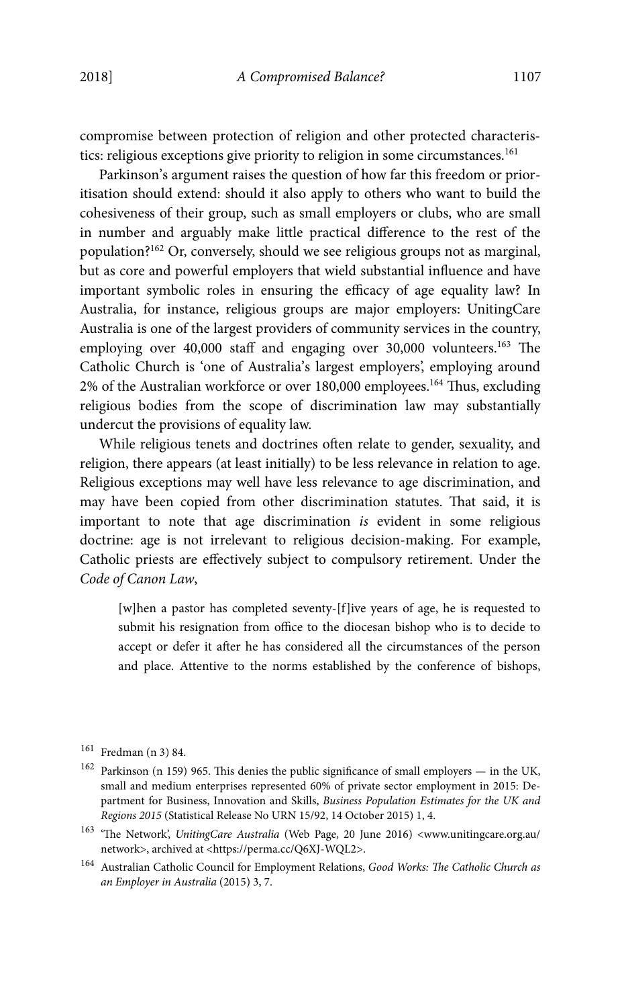compromise between protection of religion and other protected characteristics: religious exceptions give priority to religion in some circumstances.<sup>161</sup>

Parkinson's argument raises the question of how far this freedom or prioritisation should extend: should it also apply to others who want to build the cohesiveness of their group, such as small employers or clubs, who are small in number and arguably make little practical difference to the rest of the population?162 Or, conversely, should we see religious groups not as marginal, but as core and powerful employers that wield substantial influence and have important symbolic roles in ensuring the efficacy of age equality law? In Australia, for instance, religious groups are major employers: UnitingCare Australia is one of the largest providers of community services in the country, employing over 40,000 staff and engaging over 30,000 volunteers.<sup>163</sup> The Catholic Church is 'one of Australia's largest employers', employing around 2% of the Australian workforce or over 180,000 employees.164 Thus, excluding religious bodies from the scope of discrimination law may substantially undercut the provisions of equality law.

While religious tenets and doctrines often relate to gender, sexuality, and religion, there appears (at least initially) to be less relevance in relation to age. Religious exceptions may well have less relevance to age discrimination, and may have been copied from other discrimination statutes. That said, it is important to note that age discrimination is evident in some religious doctrine: age is not irrelevant to religious decision-making. For example, Catholic priests are effectively subject to compulsory retirement. Under the Code of Canon Law,

[w]hen a pastor has completed seventy-[f]ive years of age, he is requested to submit his resignation from office to the diocesan bishop who is to decide to accept or defer it after he has considered all the circumstances of the person and place. Attentive to the norms established by the conference of bishops,

- $^{163}$  'The Network', UnitingCare Australia (Web Page, 20 June 2016) <www.unitingcare.org.au/ network>, archived at <https://perma.cc/Q6XJ-WQL2>.
- 164 Australian Catholic Council for Employment Relations, Good Works: The Catholic Church as an Employer in Australia (2015) 3, 7.

<sup>161</sup> Fredman (n 3) 84.

 $^{162}$  Parkinson (n 159) 965. This denies the public significance of small employers — in the UK, small and medium enterprises represented 60% of private sector employment in 2015: Department for Business, Innovation and Skills, Business Population Estimates for the UK and Regions 2015 (Statistical Release No URN 15/92, 14 October 2015) 1, 4.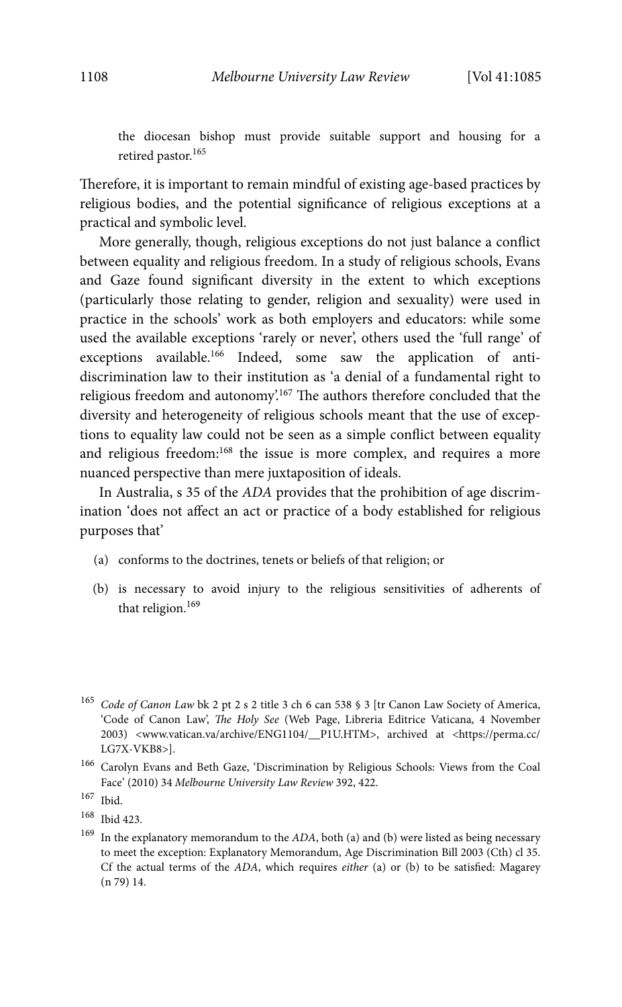the diocesan bishop must provide suitable support and housing for a retired pastor.<sup>165</sup>

Therefore, it is important to remain mindful of existing age-based practices by religious bodies, and the potential significance of religious exceptions at a practical and symbolic level.

More generally, though, religious exceptions do not just balance a conflict between equality and religious freedom. In a study of religious schools, Evans and Gaze found significant diversity in the extent to which exceptions (particularly those relating to gender, religion and sexuality) were used in practice in the schools' work as both employers and educators: while some used the available exceptions 'rarely or never', others used the 'full range' of exceptions available.<sup>166</sup> Indeed, some saw the application of antidiscrimination law to their institution as 'a denial of a fundamental right to religious freedom and autonomy'.167 The authors therefore concluded that the diversity and heterogeneity of religious schools meant that the use of exceptions to equality law could not be seen as a simple conflict between equality and religious freedom:<sup>168</sup> the issue is more complex, and requires a more nuanced perspective than mere juxtaposition of ideals.

In Australia, s 35 of the ADA provides that the prohibition of age discrimination 'does not affect an act or practice of a body established for religious purposes that'

- (a) conforms to the doctrines, tenets or beliefs of that religion; or
- (b) is necessary to avoid injury to the religious sensitivities of adherents of that religion.<sup>169</sup>

<sup>&</sup>lt;sup>165</sup> Code of Canon Law bk 2 pt 2 s 2 title 3 ch 6 can 538 § 3 [tr Canon Law Society of America, 'Code of Canon Law', The Holy See (Web Page, Libreria Editrice Vaticana, 4 November 2003) <www.vatican.va/archive/ENG1104/\_\_P1U.HTM>, archived at <https://perma.cc/ LG7X-VKB8>].

<sup>166</sup> Carolyn Evans and Beth Gaze, 'Discrimination by Religious Schools: Views from the Coal Face' (2010) 34 Melbourne University Law Review 392, 422.

<sup>167</sup> Ibid.

<sup>168</sup> Ibid 423.

 $169$  In the explanatory memorandum to the ADA, both (a) and (b) were listed as being necessary to meet the exception: Explanatory Memorandum, Age Discrimination Bill 2003 (Cth) cl 35. Cf the actual terms of the  $ADA$ , which requires *either* (a) or (b) to be satisfied: Magarey (n 79) 14.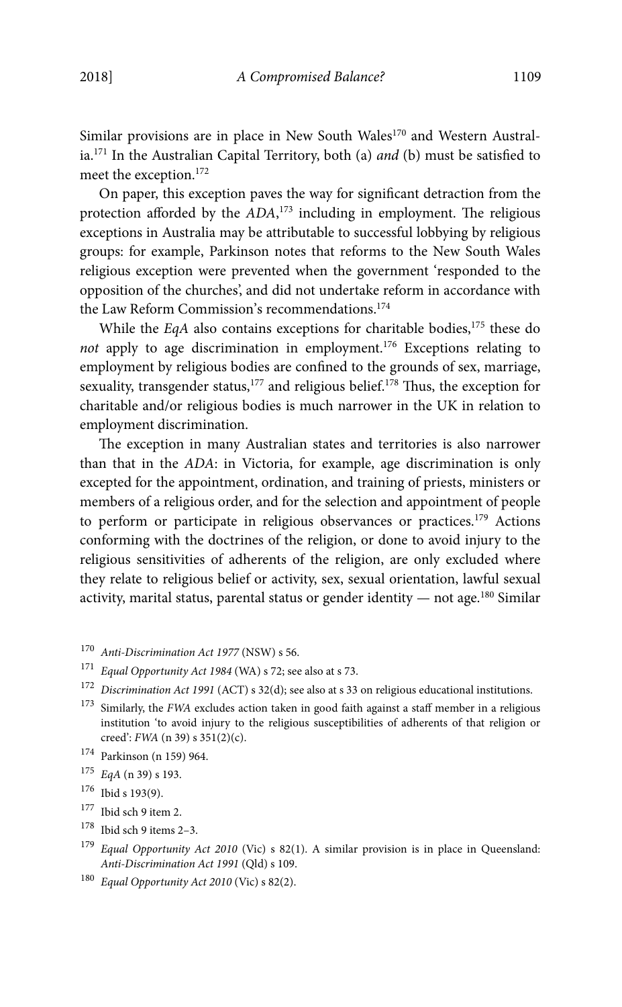Similar provisions are in place in New South Wales<sup>170</sup> and Western Australia.<sup>171</sup> In the Australian Capital Territory, both (a) *and* (b) must be satisfied to meet the exception.172

On paper, this exception paves the way for significant detraction from the protection afforded by the ADA,<sup>173</sup> including in employment. The religious exceptions in Australia may be attributable to successful lobbying by religious groups: for example, Parkinson notes that reforms to the New South Wales religious exception were prevented when the government 'responded to the opposition of the churches', and did not undertake reform in accordance with the Law Reform Commission's recommendations.<sup>174</sup>

While the EqA also contains exceptions for charitable bodies, $175$  these do not apply to age discrimination in employment.<sup>176</sup> Exceptions relating to employment by religious bodies are confined to the grounds of sex, marriage, sexuality, transgender status, $177$  and religious belief. $178$  Thus, the exception for charitable and/or religious bodies is much narrower in the UK in relation to employment discrimination.

The exception in many Australian states and territories is also narrower than that in the ADA: in Victoria, for example, age discrimination is only excepted for the appointment, ordination, and training of priests, ministers or members of a religious order, and for the selection and appointment of people to perform or participate in religious observances or practices.179 Actions conforming with the doctrines of the religion, or done to avoid injury to the religious sensitivities of adherents of the religion, are only excluded where they relate to religious belief or activity, sex, sexual orientation, lawful sexual activity, marital status, parental status or gender identity  $-$  not age.<sup>180</sup> Similar

- 170 Anti-Discrimination Act 1977 (NSW) s 56.
- <sup>171</sup> Equal Opportunity Act 1984 (WA) s 72; see also at s 73.
- <sup>172</sup> Discrimination Act 1991 (ACT) s 32(d); see also at s 33 on religious educational institutions.
- $173$  Similarly, the FWA excludes action taken in good faith against a staff member in a religious institution 'to avoid injury to the religious susceptibilities of adherents of that religion or creed': FWA (n 39) s 351(2)(c).
- 174 Parkinson (n 159) 964.
- <sup>175</sup> EqA (n 39) s 193.
- 176 Ibid s 193(9).
- 177 Ibid sch 9 item 2.
- 178 Ibid sch 9 items 2–3.
- $179$  Equal Opportunity Act 2010 (Vic) s 82(1). A similar provision is in place in Queensland: Anti-Discrimination Act 1991 (Qld) s 109.
- <sup>180</sup> Equal Opportunity Act 2010 (Vic) s 82(2).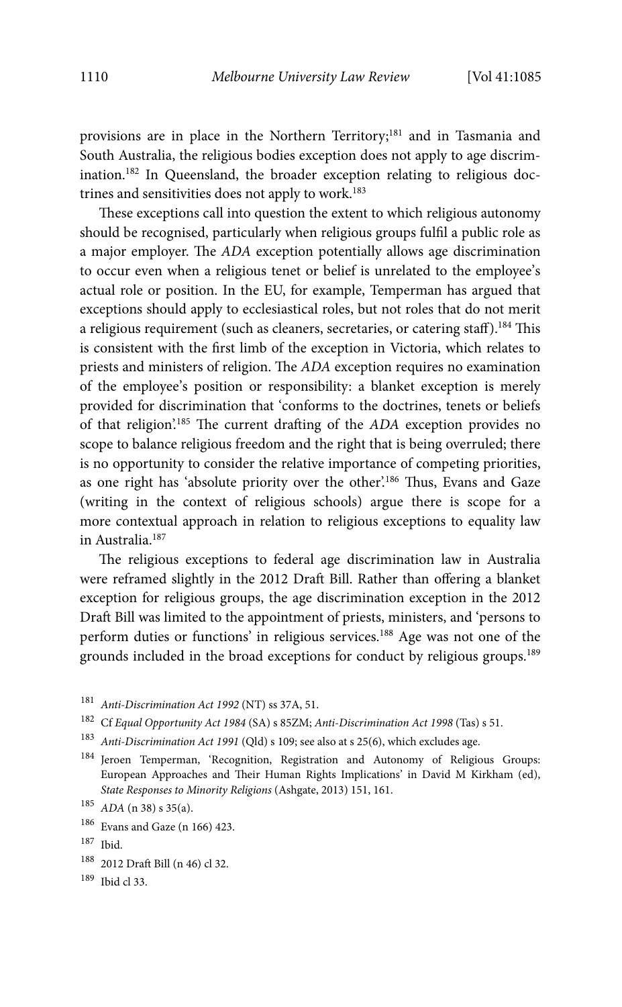provisions are in place in the Northern Territory;<sup>181</sup> and in Tasmania and South Australia, the religious bodies exception does not apply to age discrimination.182 In Queensland, the broader exception relating to religious doctrines and sensitivities does not apply to work.<sup>183</sup>

These exceptions call into question the extent to which religious autonomy should be recognised, particularly when religious groups fulfil a public role as a major employer. The ADA exception potentially allows age discrimination to occur even when a religious tenet or belief is unrelated to the employee's actual role or position. In the EU, for example, Temperman has argued that exceptions should apply to ecclesiastical roles, but not roles that do not merit a religious requirement (such as cleaners, secretaries, or catering staff).<sup>184</sup> This is consistent with the first limb of the exception in Victoria, which relates to priests and ministers of religion. The ADA exception requires no examination of the employee's position or responsibility: a blanket exception is merely provided for discrimination that 'conforms to the doctrines, tenets or beliefs of that religion'.185 The current drafting of the ADA exception provides no scope to balance religious freedom and the right that is being overruled; there is no opportunity to consider the relative importance of competing priorities, as one right has 'absolute priority over the other'.<sup>186</sup> Thus, Evans and Gaze (writing in the context of religious schools) argue there is scope for a more contextual approach in relation to religious exceptions to equality law in Australia.187

The religious exceptions to federal age discrimination law in Australia were reframed slightly in the 2012 Draft Bill. Rather than offering a blanket exception for religious groups, the age discrimination exception in the 2012 Draft Bill was limited to the appointment of priests, ministers, and 'persons to perform duties or functions' in religious services.188 Age was not one of the grounds included in the broad exceptions for conduct by religious groups.189

<sup>181</sup> Anti-Discrimination Act 1992 (NT) ss 37A, 51.

 $^{182}\,$  Cf Equal Opportunity Act 1984 (SA) s 85ZM; Anti-Discrimination Act 1998 (Tas) s 51.

- <sup>183</sup> Anti-Discrimination Act 1991 (Qld) s 109; see also at s 25(6), which excludes age.
- 184 Jeroen Temperman, 'Recognition, Registration and Autonomy of Religious Groups: European Approaches and Their Human Rights Implications' in David M Kirkham (ed), State Responses to Minority Religions (Ashgate, 2013) 151, 161.

- 186 Evans and Gaze (n 166) 423.
- 187 Ibid.
- 188 2012 Draft Bill (n 46) cl 32.
- 189 Ibid cl 33.

 $185$  ADA (n 38) s 35(a).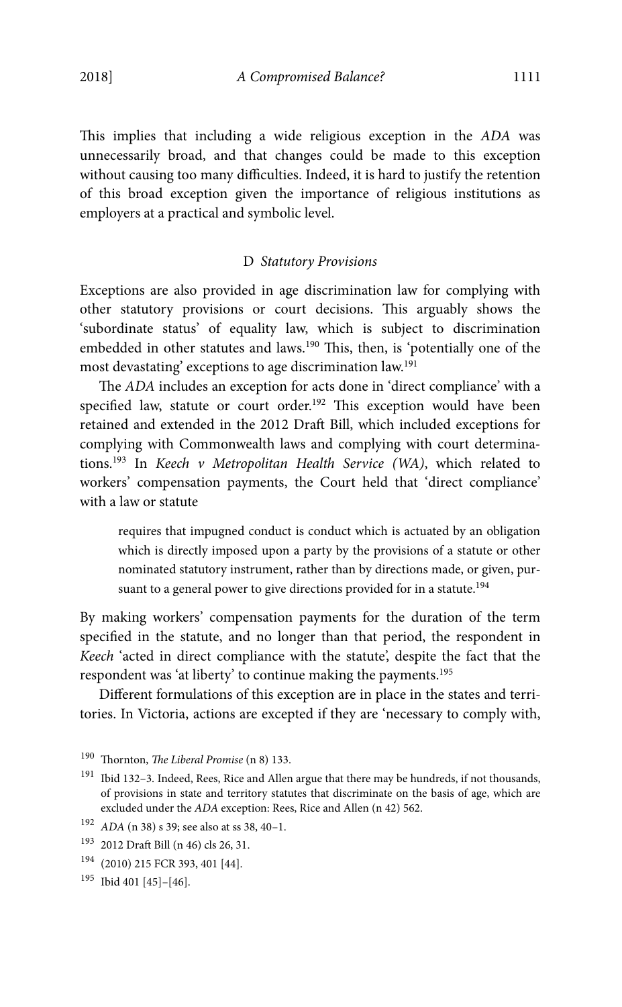This implies that including a wide religious exception in the ADA was unnecessarily broad, and that changes could be made to this exception without causing too many difficulties. Indeed, it is hard to justify the retention of this broad exception given the importance of religious institutions as employers at a practical and symbolic level.

## D Statutory Provisions

Exceptions are also provided in age discrimination law for complying with other statutory provisions or court decisions. This arguably shows the 'subordinate status' of equality law, which is subject to discrimination embedded in other statutes and laws.<sup>190</sup> This, then, is 'potentially one of the most devastating' exceptions to age discrimination law.191

The ADA includes an exception for acts done in 'direct compliance' with a specified law, statute or court order.<sup>192</sup> This exception would have been retained and extended in the 2012 Draft Bill, which included exceptions for complying with Commonwealth laws and complying with court determinations.193 In Keech v Metropolitan Health Service (WA), which related to workers' compensation payments, the Court held that 'direct compliance' with a law or statute

requires that impugned conduct is conduct which is actuated by an obligation which is directly imposed upon a party by the provisions of a statute or other nominated statutory instrument, rather than by directions made, or given, pursuant to a general power to give directions provided for in a statute.<sup>194</sup>

By making workers' compensation payments for the duration of the term specified in the statute, and no longer than that period, the respondent in Keech 'acted in direct compliance with the statute', despite the fact that the respondent was 'at liberty' to continue making the payments.<sup>195</sup>

Different formulations of this exception are in place in the states and territories. In Victoria, actions are excepted if they are 'necessary to comply with,

<sup>190</sup> Thornton, The Liberal Promise (n 8) 133.

 $^{191}\,$  Ibid 132–3. Indeed, Rees, Rice and Allen argue that there may be hundreds, if not thousands, of provisions in state and territory statutes that discriminate on the basis of age, which are excluded under the ADA exception: Rees, Rice and Allen (n 42) 562.

<sup>192</sup> ADA (n 38) s 39; see also at ss 38, 40–1.

<sup>193 2012</sup> Draft Bill (n 46) cls 26, 31.

<sup>194 (2010) 215</sup> FCR 393, 401 [44].

<sup>195</sup> Ibid 401 [45]–[46].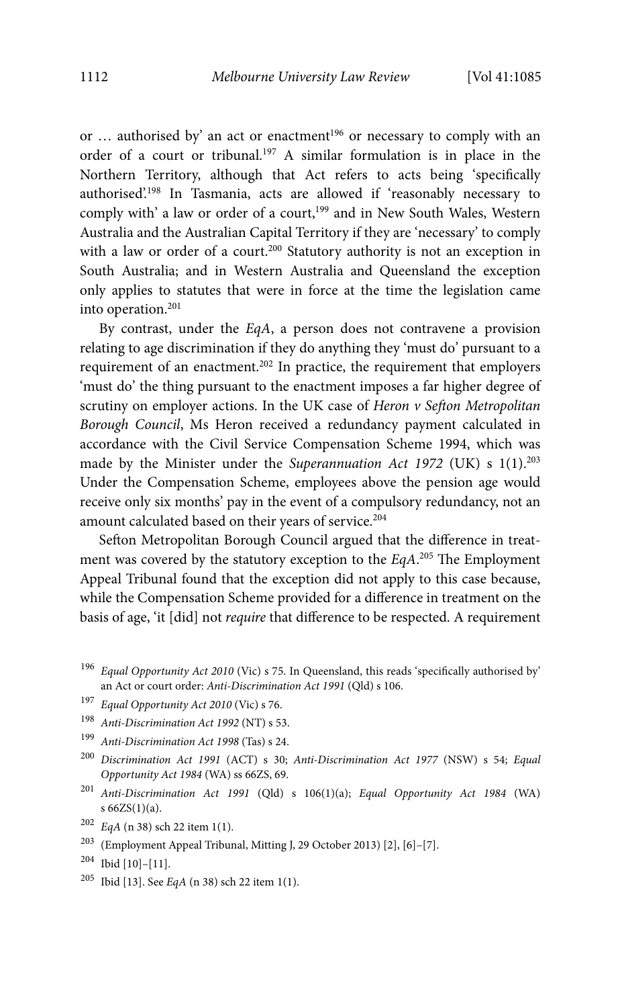or ... authorised by' an act or enactment<sup>196</sup> or necessary to comply with an order of a court or tribunal.197 A similar formulation is in place in the Northern Territory, although that Act refers to acts being 'specifically authorised'.198 In Tasmania, acts are allowed if 'reasonably necessary to comply with' a law or order of a court,<sup>199</sup> and in New South Wales, Western Australia and the Australian Capital Territory if they are 'necessary' to comply with a law or order of a court.<sup>200</sup> Statutory authority is not an exception in South Australia; and in Western Australia and Queensland the exception only applies to statutes that were in force at the time the legislation came into operation.201

By contrast, under the EqA, a person does not contravene a provision relating to age discrimination if they do anything they 'must do' pursuant to a requirement of an enactment.202 In practice, the requirement that employers 'must do' the thing pursuant to the enactment imposes a far higher degree of scrutiny on employer actions. In the UK case of Heron  $\nu$  Sefton Metropolitan Borough Council, Ms Heron received a redundancy payment calculated in accordance with the Civil Service Compensation Scheme 1994, which was made by the Minister under the Superannuation Act 1972 (UK) s 1(1).<sup>203</sup> Under the Compensation Scheme, employees above the pension age would receive only six months' pay in the event of a compulsory redundancy, not an amount calculated based on their years of service.<sup>204</sup>

Sefton Metropolitan Borough Council argued that the difference in treatment was covered by the statutory exception to the  $EqA$ <sup>205</sup> The Employment Appeal Tribunal found that the exception did not apply to this case because, while the Compensation Scheme provided for a difference in treatment on the basis of age, 'it [did] not require that difference to be respected. A requirement

- <sup>201</sup> Anti-Discrimination Act 1991 (Qld) s 106(1)(a); Equal Opportunity Act 1984 (WA) s 66ZS(1)(a).
- $202$  EqA (n 38) sch 22 item 1(1).
- 203 (Employment Appeal Tribunal, Mitting J, 29 October 2013) [2], [6]–[7].
- $^{204}$  Ibid [10]-[11].<br> $^{205}$  Ibid [13]. See E
- Ibid [13]. See  $EqA$  (n 38) sch 22 item 1(1).

 $196$  Equal Opportunity Act 2010 (Vic) s 75. In Queensland, this reads 'specifically authorised by' an Act or court order: Anti-Discrimination Act 1991 (Qld) s 106.

<sup>197</sup> Equal Opportunity Act 2010 (Vic) s 76.

<sup>198</sup> Anti-Discrimination Act 1992 (NT) s 53.

<sup>199</sup> Anti-Discrimination Act 1998 (Tas) s 24.

<sup>200</sup> Discrimination Act 1991 (ACT) s 30; Anti-Discrimination Act 1977 (NSW) s 54; Equal Opportunity Act 1984 (WA) ss 66ZS, 69.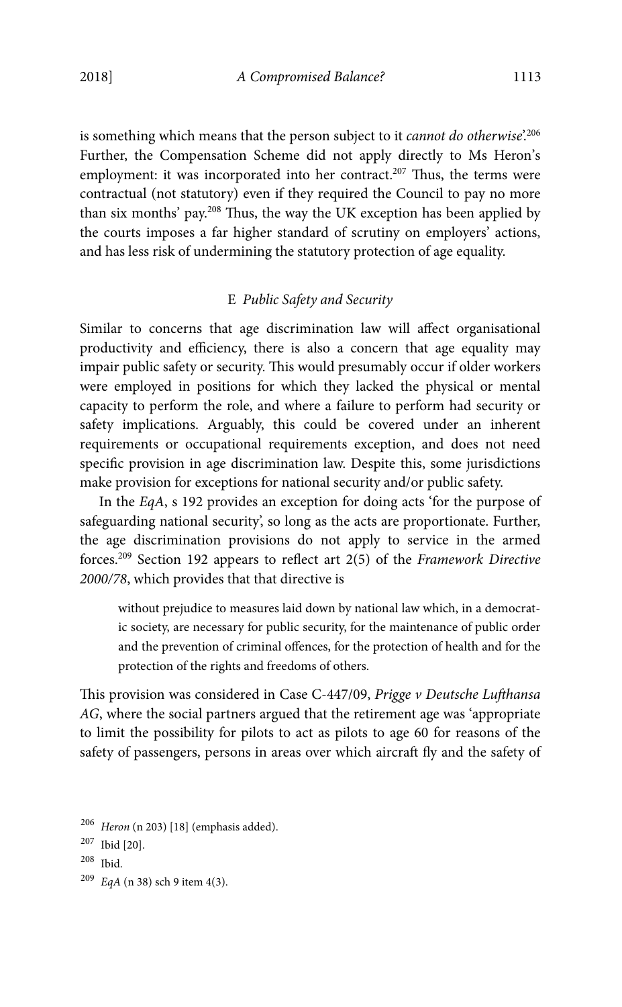is something which means that the person subject to it *cannot do otherwise*<sup>206</sup> Further, the Compensation Scheme did not apply directly to Ms Heron's employment: it was incorporated into her contract.<sup>207</sup> Thus, the terms were contractual (not statutory) even if they required the Council to pay no more than six months' pay.208 Thus, the way the UK exception has been applied by the courts imposes a far higher standard of scrutiny on employers' actions, and has less risk of undermining the statutory protection of age equality.

# E Public Safety and Security

Similar to concerns that age discrimination law will affect organisational productivity and efficiency, there is also a concern that age equality may impair public safety or security. This would presumably occur if older workers were employed in positions for which they lacked the physical or mental capacity to perform the role, and where a failure to perform had security or safety implications. Arguably, this could be covered under an inherent requirements or occupational requirements exception, and does not need specific provision in age discrimination law. Despite this, some jurisdictions make provision for exceptions for national security and/or public safety.

In the EqA, s 192 provides an exception for doing acts 'for the purpose of safeguarding national security', so long as the acts are proportionate. Further, the age discrimination provisions do not apply to service in the armed forces.<sup>209</sup> Section 192 appears to reflect art  $2(5)$  of the Framework Directive 2000/78, which provides that that directive is

without prejudice to measures laid down by national law which, in a democratic society, are necessary for public security, for the maintenance of public order and the prevention of criminal offences, for the protection of health and for the protection of the rights and freedoms of others.

This provision was considered in Case C-447/09, Prigge v Deutsche Lufthansa AG, where the social partners argued that the retirement age was 'appropriate to limit the possibility for pilots to act as pilots to age 60 for reasons of the safety of passengers, persons in areas over which aircraft fly and the safety of

<sup>206</sup> Heron (n 203) [18] (emphasis added).

<sup>207</sup> Ibid [20].

<sup>208</sup> Ibid.

<sup>209</sup> EqA (n 38) sch 9 item 4(3).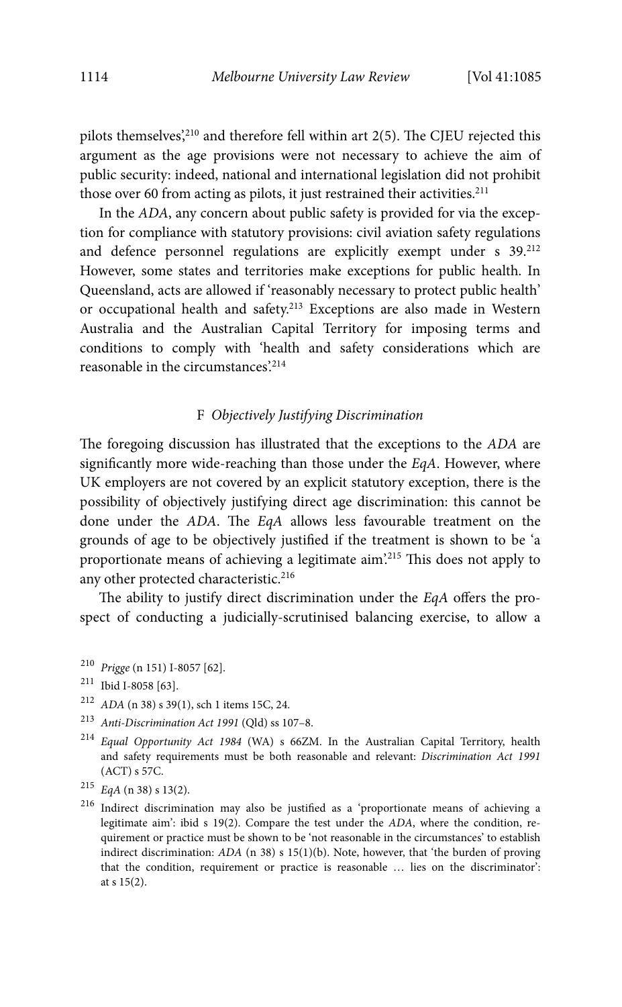pilots themselves', $210$  and therefore fell within art 2(5). The CJEU rejected this argument as the age provisions were not necessary to achieve the aim of public security: indeed, national and international legislation did not prohibit those over 60 from acting as pilots, it just restrained their activities. $^{211}$ 

In the ADA, any concern about public safety is provided for via the exception for compliance with statutory provisions: civil aviation safety regulations and defence personnel regulations are explicitly exempt under s  $39.^{212}$ However, some states and territories make exceptions for public health. In Queensland, acts are allowed if 'reasonably necessary to protect public health' or occupational health and safety.<sup>213</sup> Exceptions are also made in Western Australia and the Australian Capital Territory for imposing terms and conditions to comply with 'health and safety considerations which are reasonable in the circumstances'.214

# F Objectively Justifying Discrimination

The foregoing discussion has illustrated that the exceptions to the ADA are significantly more wide-reaching than those under the EqA. However, where UK employers are not covered by an explicit statutory exception, there is the possibility of objectively justifying direct age discrimination: this cannot be done under the ADA. The EqA allows less favourable treatment on the grounds of age to be objectively justified if the treatment is shown to be 'a proportionate means of achieving a legitimate aim'.215 This does not apply to any other protected characteristic.<sup>216</sup>

The ability to justify direct discrimination under the EqA offers the prospect of conducting a judicially-scrutinised balancing exercise, to allow a

216 Indirect discrimination may also be justified as a 'proportionate means of achieving a legitimate aim': ibid s 19(2). Compare the test under the ADA, where the condition, requirement or practice must be shown to be 'not reasonable in the circumstances' to establish indirect discrimination: ADA (n 38) s 15(1)(b). Note, however, that 'the burden of proving that the condition, requirement or practice is reasonable … lies on the discriminator': at s 15(2).

<sup>210</sup> Prigge (n 151) I-8057 [62].

<sup>211</sup> Ibid I-8058 [63].

 $212$  ADA (n 38) s 39(1), sch 1 items 15C, 24.

<sup>213</sup> Anti-Discrimination Act 1991 (Qld) ss 107–8.

<sup>214</sup> Equal Opportunity Act 1984 (WA) s 66ZM. In the Australian Capital Territory, health and safety requirements must be both reasonable and relevant: Discrimination Act 1991 (ACT) s 57C.

 $215$  EqA (n 38) s 13(2).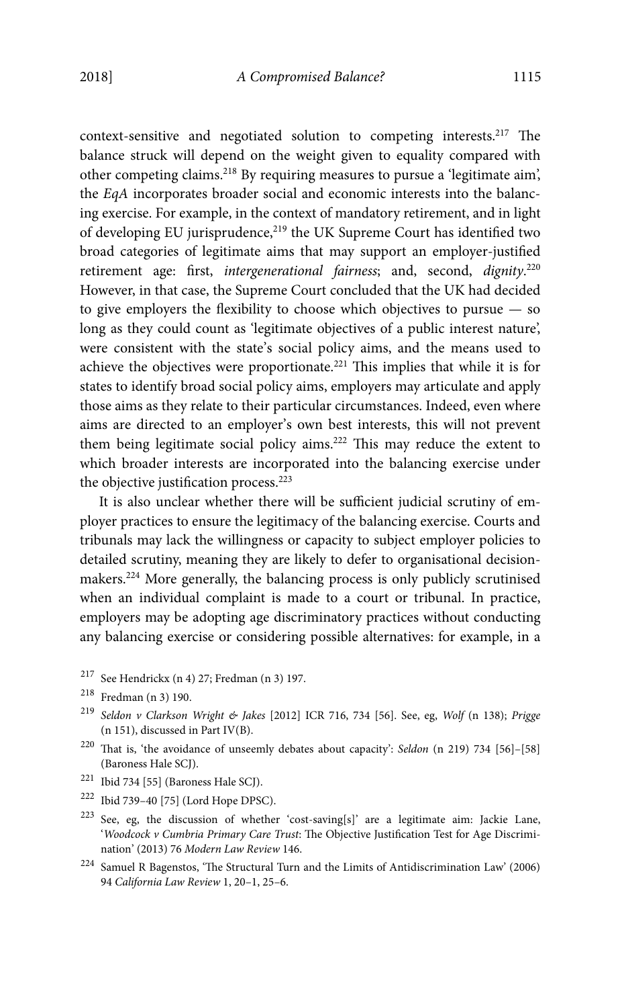context-sensitive and negotiated solution to competing interests.217 The balance struck will depend on the weight given to equality compared with other competing claims.218 By requiring measures to pursue a 'legitimate aim', the EqA incorporates broader social and economic interests into the balancing exercise. For example, in the context of mandatory retirement, and in light of developing EU jurisprudence,<sup>219</sup> the UK Supreme Court has identified two broad categories of legitimate aims that may support an employer-justified retirement age: first, intergenerational fairness; and, second, dignity.<sup>220</sup> However, in that case, the Supreme Court concluded that the UK had decided to give employers the flexibility to choose which objectives to pursue — so long as they could count as 'legitimate objectives of a public interest nature', were consistent with the state's social policy aims, and the means used to achieve the objectives were proportionate.221 This implies that while it is for states to identify broad social policy aims, employers may articulate and apply those aims as they relate to their particular circumstances. Indeed, even where aims are directed to an employer's own best interests, this will not prevent them being legitimate social policy aims.222 This may reduce the extent to which broader interests are incorporated into the balancing exercise under the objective justification process.<sup>223</sup>

It is also unclear whether there will be sufficient judicial scrutiny of employer practices to ensure the legitimacy of the balancing exercise. Courts and tribunals may lack the willingness or capacity to subject employer policies to detailed scrutiny, meaning they are likely to defer to organisational decisionmakers.224 More generally, the balancing process is only publicly scrutinised when an individual complaint is made to a court or tribunal. In practice, employers may be adopting age discriminatory practices without conducting any balancing exercise or considering possible alternatives: for example, in a

- 217 See Hendrickx (n 4) 27; Fredman (n 3) 197.
- 218 Fredman (n 3) 190.
- $219$  Seldon v Clarkson Wright & Jakes [2012] ICR 716, 734 [56]. See, eg, Wolf (n 138); Prigge (n 151), discussed in Part IV(B).
- 220 That is, 'the avoidance of unseemly debates about capacity': Seldon (n 219) 734 [56]–[58] (Baroness Hale SCJ).
- $^{221}\,$  Ibid 734 [55] (Baroness Hale SCJ).
- 222 Ibid 739–40 [75] (Lord Hope DPSC).
- 223 See, eg, the discussion of whether 'cost-saving[s]' are a legitimate aim: Jackie Lane, 'Woodcock v Cumbria Primary Care Trust: The Objective Justification Test for Age Discrimination' (2013) 76 Modern Law Review 146.
- $^{224}\,$  Samuel R Bagenstos, 'The Structural Turn and the Limits of Antidiscrimination Law' (2006) 94 California Law Review 1, 20–1, 25–6.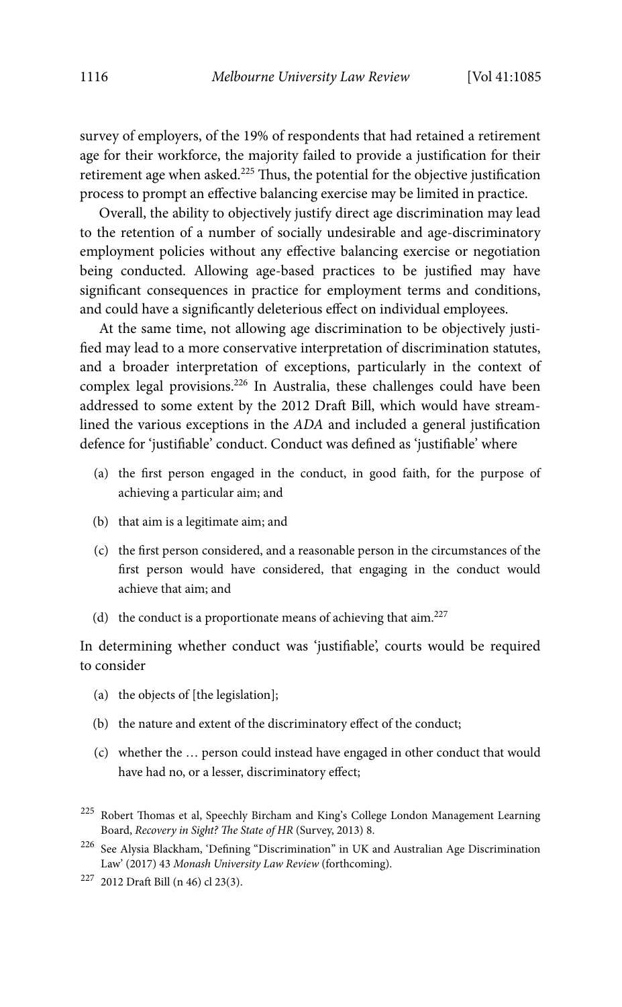survey of employers, of the 19% of respondents that had retained a retirement age for their workforce, the majority failed to provide a justification for their retirement age when asked.<sup>225</sup> Thus, the potential for the objective justification process to prompt an effective balancing exercise may be limited in practice.

Overall, the ability to objectively justify direct age discrimination may lead to the retention of a number of socially undesirable and age-discriminatory employment policies without any effective balancing exercise or negotiation being conducted. Allowing age-based practices to be justified may have significant consequences in practice for employment terms and conditions, and could have a significantly deleterious effect on individual employees.

At the same time, not allowing age discrimination to be objectively justified may lead to a more conservative interpretation of discrimination statutes, and a broader interpretation of exceptions, particularly in the context of complex legal provisions.<sup>226</sup> In Australia, these challenges could have been addressed to some extent by the 2012 Draft Bill, which would have streamlined the various exceptions in the ADA and included a general justification defence for 'justifiable' conduct. Conduct was defined as 'justifiable' where

- (a) the first person engaged in the conduct, in good faith, for the purpose of achieving a particular aim; and
- (b) that aim is a legitimate aim; and
- (c) the first person considered, and a reasonable person in the circumstances of the first person would have considered, that engaging in the conduct would achieve that aim; and
- (d) the conduct is a proportionate means of achieving that  $\dim^{227}$

In determining whether conduct was 'justifiable', courts would be required to consider

- (a) the objects of [the legislation];
- (b) the nature and extent of the discriminatory effect of the conduct;
- (c) whether the … person could instead have engaged in other conduct that would have had no, or a lesser, discriminatory effect;
- 225 Robert Thomas et al, Speechly Bircham and King's College London Management Learning Board, Recovery in Sight? The State of HR (Survey, 2013) 8.
- 226 See Alysia Blackham, 'Defining "Discrimination" in UK and Australian Age Discrimination Law' (2017) 43 Monash University Law Review (forthcoming).

<sup>227 2012</sup> Draft Bill (n 46) cl 23(3).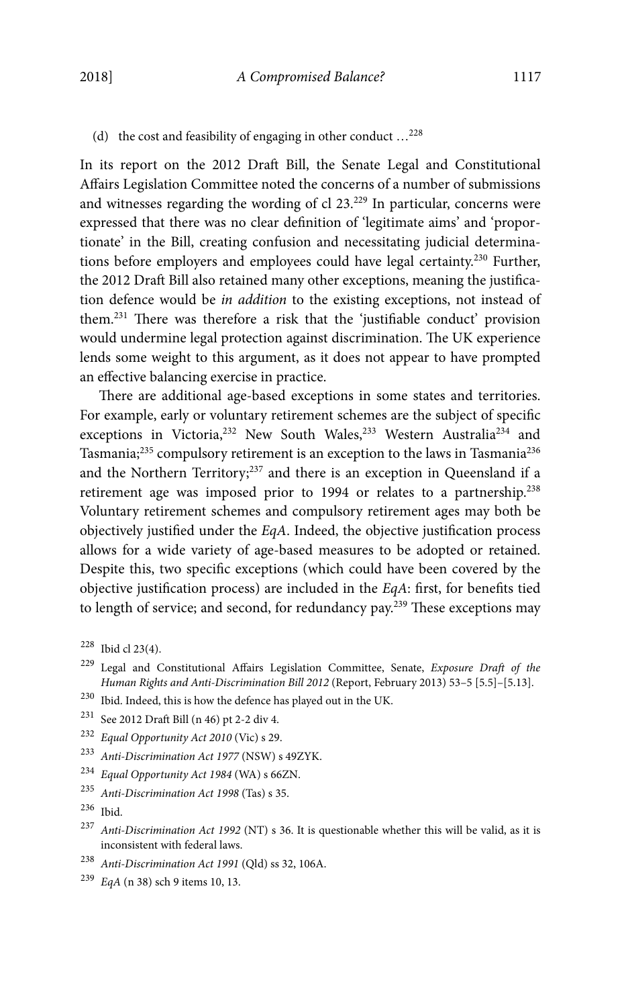(d) the cost and feasibility of engaging in other conduct  $\dots^{228}$ 

In its report on the 2012 Draft Bill, the Senate Legal and Constitutional Affairs Legislation Committee noted the concerns of a number of submissions and witnesses regarding the wording of cl 23.229 In particular, concerns were expressed that there was no clear definition of 'legitimate aims' and 'proportionate' in the Bill, creating confusion and necessitating judicial determinations before employers and employees could have legal certainty.230 Further, the 2012 Draft Bill also retained many other exceptions, meaning the justification defence would be in addition to the existing exceptions, not instead of them.231 There was therefore a risk that the 'justifiable conduct' provision would undermine legal protection against discrimination. The UK experience lends some weight to this argument, as it does not appear to have prompted an effective balancing exercise in practice.

There are additional age-based exceptions in some states and territories. For example, early or voluntary retirement schemes are the subject of specific exceptions in Victoria,<sup>232</sup> New South Wales,<sup>233</sup> Western Australia<sup>234</sup> and Tasmania;<sup>235</sup> compulsory retirement is an exception to the laws in Tasmania<sup>236</sup> and the Northern Territory; $237$  and there is an exception in Queensland if a retirement age was imposed prior to 1994 or relates to a partnership.<sup>238</sup> Voluntary retirement schemes and compulsory retirement ages may both be objectively justified under the EqA. Indeed, the objective justification process allows for a wide variety of age-based measures to be adopted or retained. Despite this, two specific exceptions (which could have been covered by the objective justification process) are included in the EqA: first, for benefits tied to length of service; and second, for redundancy pay.<sup>239</sup> These exceptions may

- 229 Legal and Constitutional Affairs Legislation Committee, Senate, Exposure Draft of the Human Rights and Anti-Discrimination Bill 2012 (Report, February 2013) 53–5 [5.5]–[5.13].
- $^{230}\,$  Ibid. Indeed, this is how the defence has played out in the UK.
- 231 See 2012 Draft Bill (n 46) pt 2-2 div 4.
- <sup>232</sup> Equal Opportunity Act 2010 (Vic) s 29.
- <sup>233</sup> Anti-Discrimination Act 1977 (NSW) s 49ZYK.
- <sup>234</sup> Equal Opportunity Act 1984 (WA) s 66ZN.
- <sup>235</sup> Anti-Discrimination Act 1998 (Tas) s 35.
- 236 Ibid.
- <sup>237</sup> Anti-Discrimination Act 1992 (NT) s 36. It is questionable whether this will be valid, as it is inconsistent with federal laws.
- <sup>238</sup> Anti-Discrimination Act 1991 (Qld) ss 32, 106A.
- <sup>239</sup> EqA (n 38) sch 9 items 10, 13.

<sup>228</sup> Ibid cl 23(4).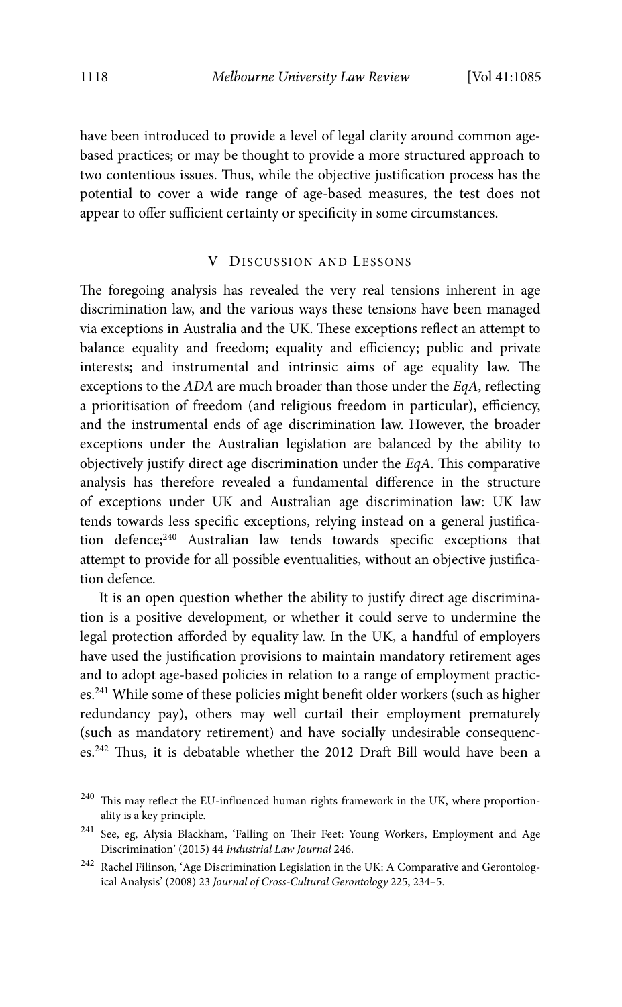have been introduced to provide a level of legal clarity around common agebased practices; or may be thought to provide a more structured approach to two contentious issues. Thus, while the objective justification process has the potential to cover a wide range of age-based measures, the test does not appear to offer sufficient certainty or specificity in some circumstances.

### V DISCUSSION AND LESSONS

The foregoing analysis has revealed the very real tensions inherent in age discrimination law, and the various ways these tensions have been managed via exceptions in Australia and the UK. These exceptions reflect an attempt to balance equality and freedom; equality and efficiency; public and private interests; and instrumental and intrinsic aims of age equality law. The exceptions to the ADA are much broader than those under the EqA, reflecting a prioritisation of freedom (and religious freedom in particular), efficiency, and the instrumental ends of age discrimination law. However, the broader exceptions under the Australian legislation are balanced by the ability to objectively justify direct age discrimination under the EqA. This comparative analysis has therefore revealed a fundamental difference in the structure of exceptions under UK and Australian age discrimination law: UK law tends towards less specific exceptions, relying instead on a general justification defence;<sup>240</sup> Australian law tends towards specific exceptions that attempt to provide for all possible eventualities, without an objective justification defence.

It is an open question whether the ability to justify direct age discrimination is a positive development, or whether it could serve to undermine the legal protection afforded by equality law. In the UK, a handful of employers have used the justification provisions to maintain mandatory retirement ages and to adopt age-based policies in relation to a range of employment practices.241 While some of these policies might benefit older workers (such as higher redundancy pay), others may well curtail their employment prematurely (such as mandatory retirement) and have socially undesirable consequences.242 Thus, it is debatable whether the 2012 Draft Bill would have been a

 $^{240}\,$  This may reflect the EU-influenced human rights framework in the UK, where proportionality is a key principle.

<sup>241</sup> See, eg, Alysia Blackham, 'Falling on Their Feet: Young Workers, Employment and Age Discrimination' (2015) 44 Industrial Law Journal 246.

 $^{242}\,$  Rachel Filinson, 'Age Discrimination Legislation in the UK: A Comparative and Gerontological Analysis' (2008) 23 Journal of Cross-Cultural Gerontology 225, 234–5.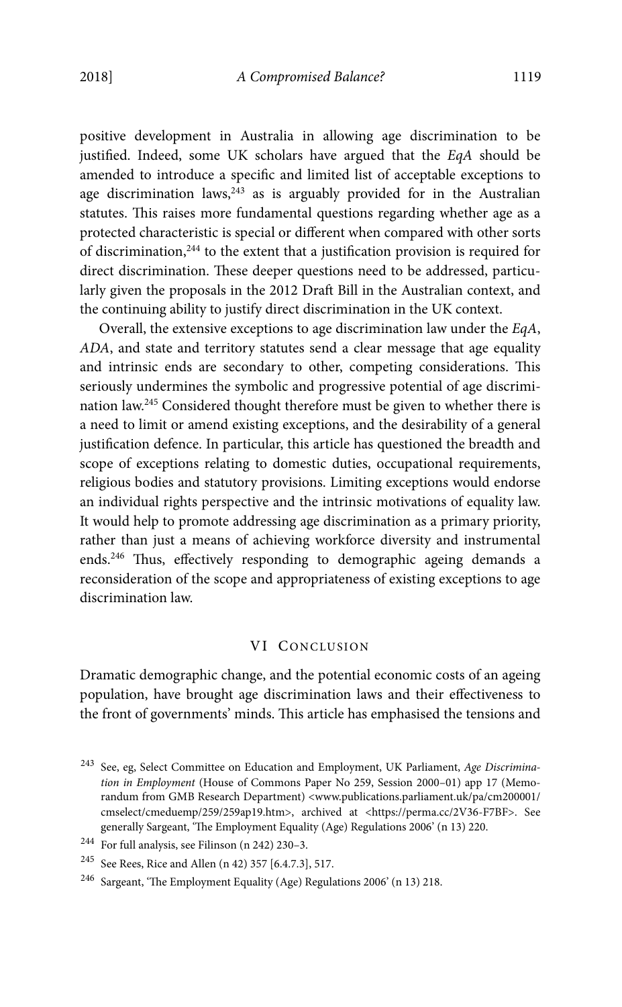positive development in Australia in allowing age discrimination to be justified. Indeed, some UK scholars have argued that the EqA should be amended to introduce a specific and limited list of acceptable exceptions to age discrimination laws,  $243$  as is arguably provided for in the Australian statutes. This raises more fundamental questions regarding whether age as a protected characteristic is special or different when compared with other sorts of discrimination, $244$  to the extent that a justification provision is required for direct discrimination. These deeper questions need to be addressed, particularly given the proposals in the 2012 Draft Bill in the Australian context, and the continuing ability to justify direct discrimination in the UK context.

Overall, the extensive exceptions to age discrimination law under the EqA, ADA, and state and territory statutes send a clear message that age equality and intrinsic ends are secondary to other, competing considerations. This seriously undermines the symbolic and progressive potential of age discrimination law.245 Considered thought therefore must be given to whether there is a need to limit or amend existing exceptions, and the desirability of a general justification defence. In particular, this article has questioned the breadth and scope of exceptions relating to domestic duties, occupational requirements, religious bodies and statutory provisions. Limiting exceptions would endorse an individual rights perspective and the intrinsic motivations of equality law. It would help to promote addressing age discrimination as a primary priority, rather than just a means of achieving workforce diversity and instrumental ends.<sup>246</sup> Thus, effectively responding to demographic ageing demands a reconsideration of the scope and appropriateness of existing exceptions to age discrimination law.

# VI CONCLUSION

Dramatic demographic change, and the potential economic costs of an ageing population, have brought age discrimination laws and their effectiveness to the front of governments' minds. This article has emphasised the tensions and

 $^{243}\,$  See, eg, Select Committee on Education and Employment, UK Parliament, Age Discrimination in Employment (House of Commons Paper No 259, Session 2000–01) app 17 (Memorandum from GMB Research Department) <www.publications.parliament.uk/pa/cm200001/ cmselect/cmeduemp/259/259ap19.htm>, archived at <https://perma.cc/2V36-F7BF>. See generally Sargeant, 'The Employment Equality (Age) Regulations 2006' (n 13) 220.

<sup>244</sup> For full analysis, see Filinson (n 242) 230–3.

<sup>245</sup> See Rees, Rice and Allen (n 42) 357 [6.4.7.3], 517.

<sup>246</sup> Sargeant, 'The Employment Equality (Age) Regulations 2006' (n 13) 218.